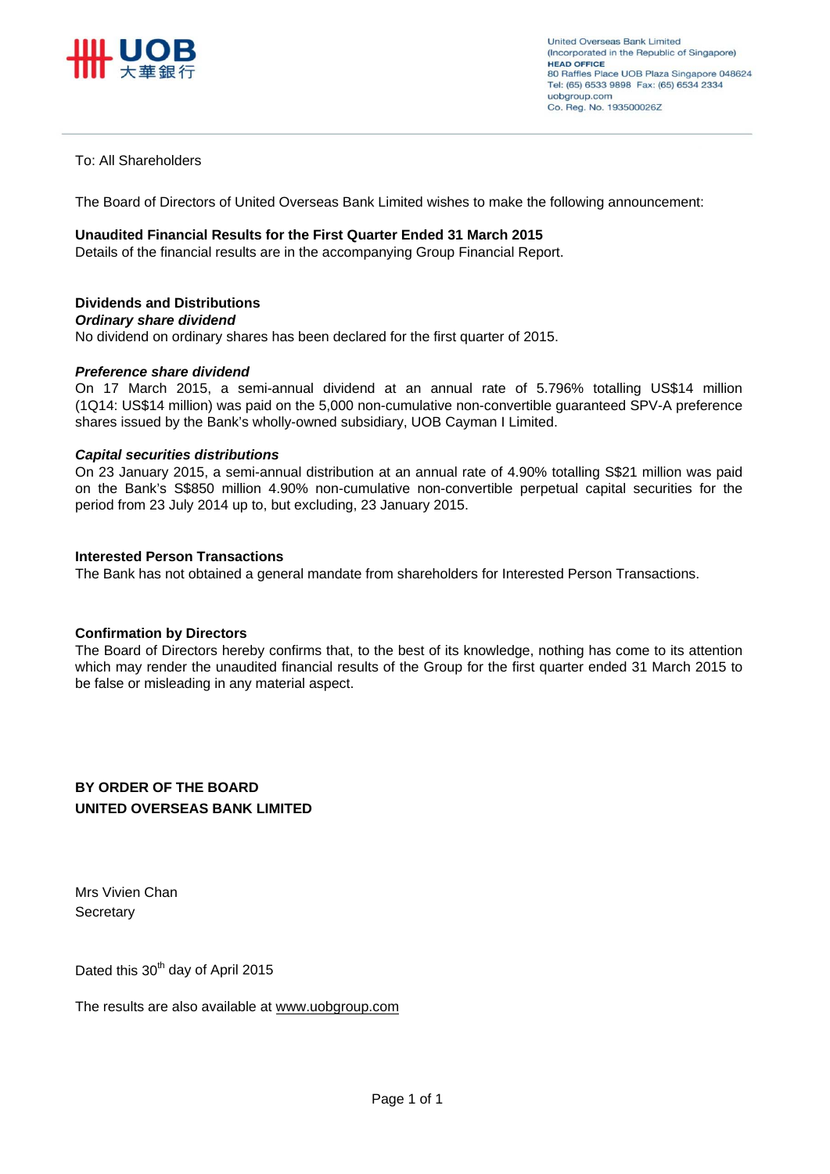

## To: All Shareholders

The Board of Directors of United Overseas Bank Limited wishes to make the following announcement:

### **Unaudited Financial Results for the First Quarter Ended 31 March 2015**

Details of the financial results are in the accompanying Group Financial Report.

## **Dividends and Distributions**

### *Ordinary share dividend*

No dividend on ordinary shares has been declared for the first quarter of 2015.

### *Preference share dividend*

On 17 March 2015, a semi-annual dividend at an annual rate of 5.796% totalling US\$14 million (1Q14: US\$14 million) was paid on the 5,000 non-cumulative non-convertible guaranteed SPV-A preference shares issued by the Bank's wholly-owned subsidiary, UOB Cayman I Limited.

### *Capital securities distributions*

On 23 January 2015, a semi-annual distribution at an annual rate of 4.90% totalling S\$21 million was paid on the Bank's S\$850 million 4.90% non-cumulative non-convertible perpetual capital securities for the period from 23 July 2014 up to, but excluding, 23 January 2015.

## **Interested Person Transactions**

The Bank has not obtained a general mandate from shareholders for Interested Person Transactions.

## **Confirmation by Directors**

The Board of Directors hereby confirms that, to the best of its knowledge, nothing has come to its attention which may render the unaudited financial results of the Group for the first quarter ended 31 March 2015 to be false or misleading in any material aspect.

## **BY ORDER OF THE BOARD UNITED OVERSEAS BANK LIMITED**

Mrs Vivien Chan **Secretary** 

Dated this 30<sup>th</sup> day of April 2015

The results are also available at www.uobgroup.com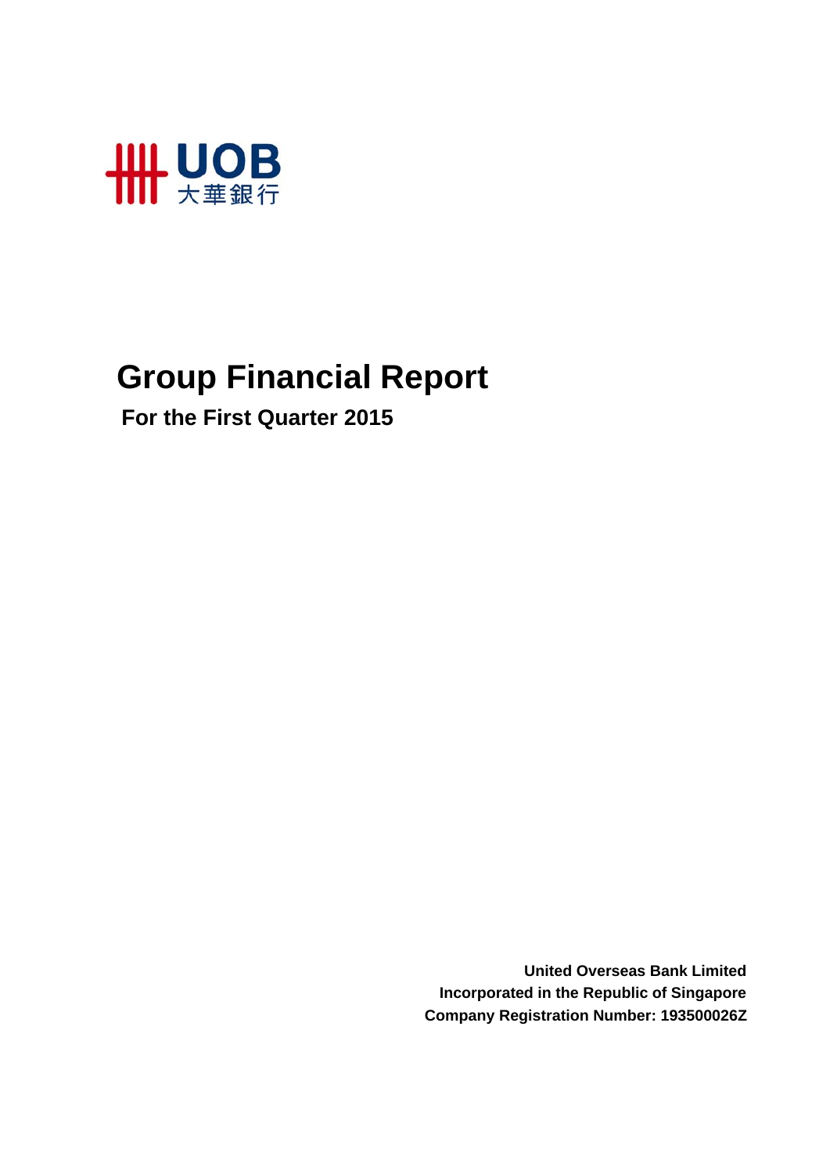

# **Group Financial Report**

 **For the First Quarter 2015**

**United Overseas Bank Limited Incorporated in the Republic of Singapore Company Registration Number: 193500026Z**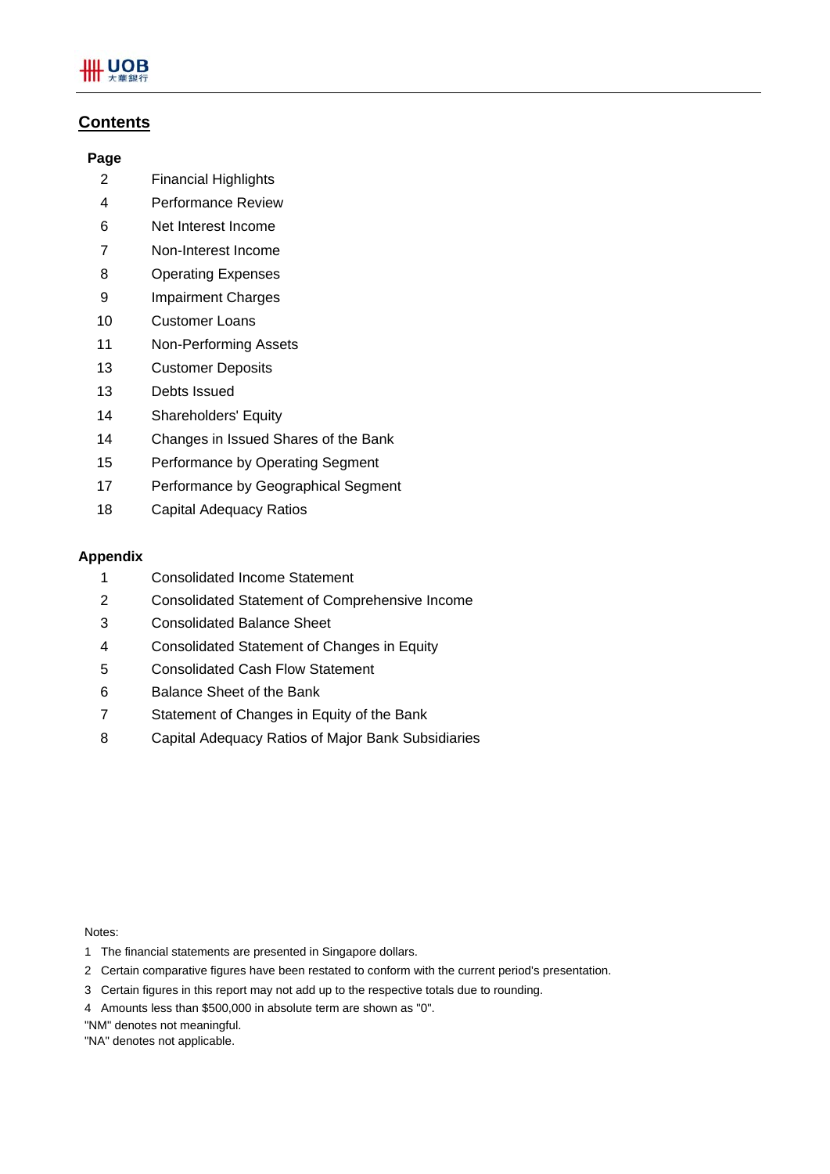## **Contents**

## **Page**

- 2 Financial Highlights
- 4 Performance Review
- 6 Net Interest Income
- 7 Non-Interest Income
- 8 Operating Expenses
- 9 Impairment Charges
- 10 Customer Loans
- 11 Non-Performing Assets
- 13 Customer Deposits
- 13 Debts Issued
- 14 Shareholders' Equity
- 14 Changes in Issued Shares of the Bank
- 15 Performance by Operating Segment
- 17 Performance by Geographical Segment
- 18 Capital Adequacy Ratios

## **Appendix**

- 1 Consolidated Income Statement
- 2 Consolidated Statement of Comprehensive Income
- 3 Consolidated Balance Sheet
- 4 Consolidated Statement of Changes in Equity
- 5 Consolidated Cash Flow Statement
- 6 Balance Sheet of the Bank
- 7 Statement of Changes in Equity of the Bank
- 8 Capital Adequacy Ratios of Major Bank Subsidiaries

Notes:

- 1 The financial statements are presented in Singapore dollars.
- 2 Certain comparative figures have been restated to conform with the current period's presentation.
- 3 Certain figures in this report may not add up to the respective totals due to rounding.
- 4 Amounts less than \$500,000 in absolute term are shown as "0".
- "NM" denotes not meaningful.
- "NA" denotes not applicable.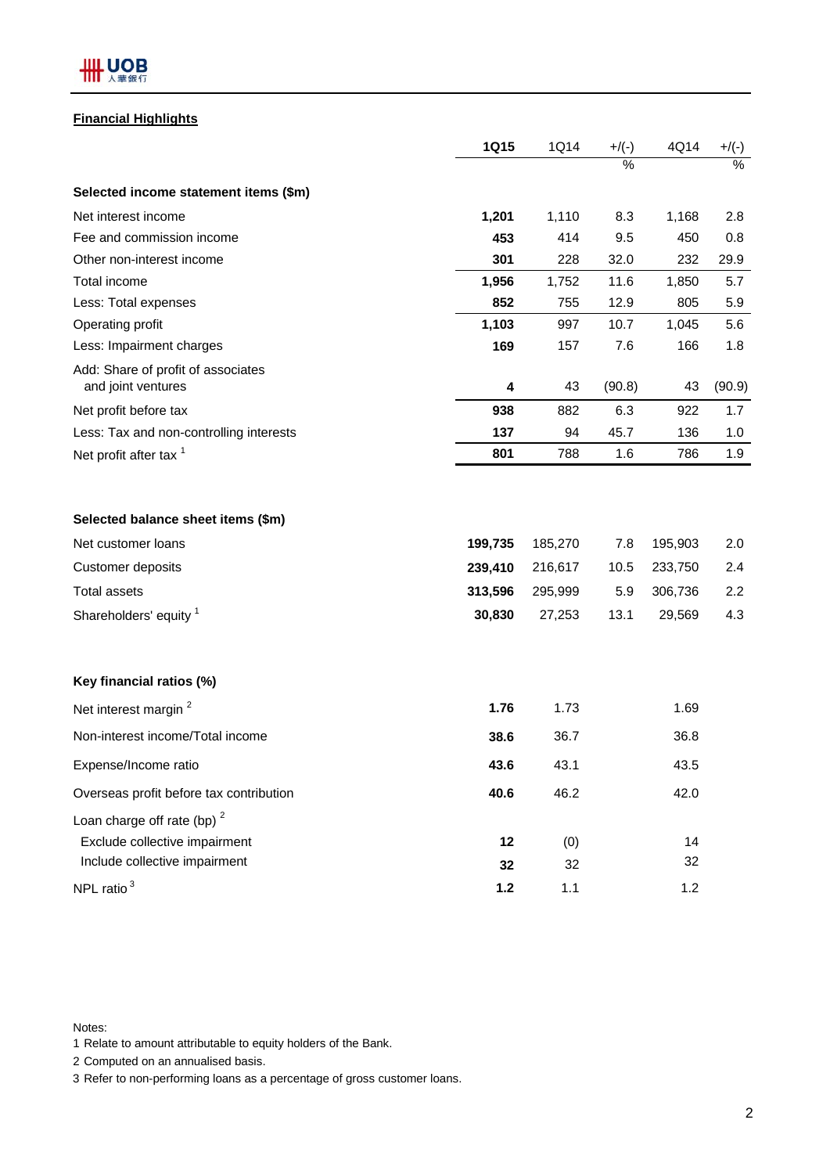

## **Financial Highlights**

|                                                                                                                                | <b>1Q15</b>                             | 1Q14                                    | $+$ /(-)                   | 4Q14                                    | $+/(-)$                  |
|--------------------------------------------------------------------------------------------------------------------------------|-----------------------------------------|-----------------------------------------|----------------------------|-----------------------------------------|--------------------------|
|                                                                                                                                |                                         |                                         | $\frac{0}{6}$              |                                         | $\%$                     |
| Selected income statement items (\$m)                                                                                          |                                         |                                         |                            |                                         |                          |
| Net interest income                                                                                                            | 1,201                                   | 1,110                                   | 8.3                        | 1,168                                   | 2.8                      |
| Fee and commission income                                                                                                      | 453                                     | 414                                     | 9.5                        | 450                                     | 0.8                      |
| Other non-interest income                                                                                                      | 301                                     | 228                                     | 32.0                       | 232                                     | 29.9                     |
| Total income                                                                                                                   | 1,956                                   | 1,752                                   | 11.6                       | 1,850                                   | 5.7                      |
| Less: Total expenses                                                                                                           | 852                                     | 755                                     | 12.9                       | 805                                     | 5.9                      |
| Operating profit                                                                                                               | 1,103                                   | 997                                     | 10.7                       | 1,045                                   | 5.6                      |
| Less: Impairment charges                                                                                                       | 169                                     | 157                                     | 7.6                        | 166                                     | 1.8                      |
| Add: Share of profit of associates<br>and joint ventures                                                                       | 4                                       | 43                                      | (90.8)                     | 43                                      | (90.9)                   |
| Net profit before tax                                                                                                          | 938                                     | 882                                     | 6.3                        | 922                                     | 1.7                      |
| Less: Tax and non-controlling interests                                                                                        | 137                                     | 94                                      | 45.7                       | 136                                     | 1.0                      |
| Net profit after tax <sup>1</sup>                                                                                              | 801                                     | 788                                     | 1.6                        | 786                                     | 1.9                      |
| Selected balance sheet items (\$m)<br>Net customer loans<br>Customer deposits<br><b>Total assets</b><br>Shareholders' equity 1 | 199,735<br>239,410<br>313,596<br>30,830 | 185,270<br>216,617<br>295,999<br>27,253 | 7.8<br>10.5<br>5.9<br>13.1 | 195,903<br>233,750<br>306,736<br>29,569 | 2.0<br>2.4<br>2.2<br>4.3 |
| Key financial ratios (%)                                                                                                       |                                         |                                         |                            |                                         |                          |
| Net interest margin <sup>2</sup>                                                                                               | 1.76                                    | 1.73                                    |                            | 1.69                                    |                          |
| Non-interest income/Total income                                                                                               | 38.6                                    | 36.7                                    |                            | 36.8                                    |                          |
| Expense/Income ratio                                                                                                           | 43.6                                    | 43.1                                    |                            | 43.5                                    |                          |
| Overseas profit before tax contribution                                                                                        | 40.6                                    | 46.2                                    |                            | 42.0                                    |                          |
| Loan charge off rate (bp) $2$                                                                                                  |                                         |                                         |                            |                                         |                          |
| Exclude collective impairment                                                                                                  | 12                                      | (0)                                     |                            | 14                                      |                          |
| Include collective impairment                                                                                                  | 32                                      | 32                                      |                            | 32                                      |                          |
| NPL ratio $3$                                                                                                                  | $1.2$                                   | 1.1                                     |                            | 1.2                                     |                          |

Notes:

1 Relate to amount attributable to equity holders of the Bank.

2 Computed on an annualised basis.

3 Refer to non-performing loans as a percentage of gross customer loans.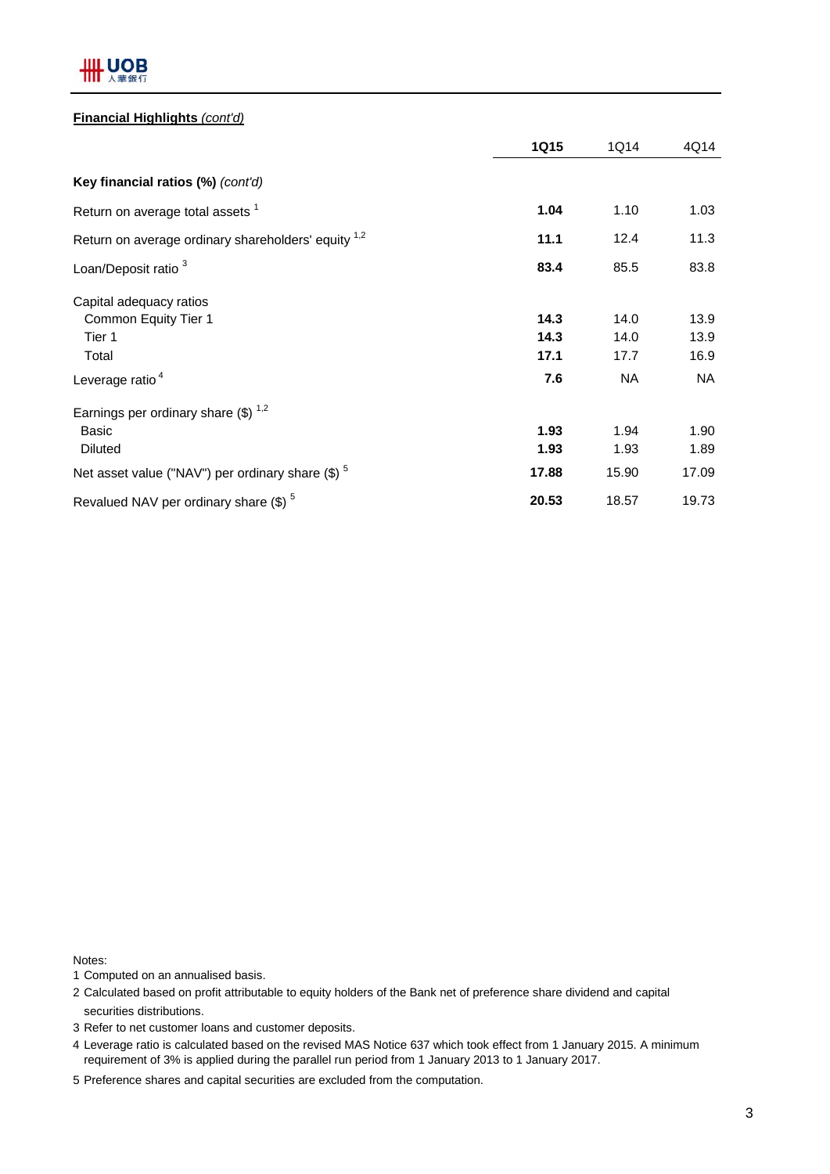

## **Financial Highlights** *(cont'd)*

|                                                                            | <b>1Q15</b>          | 1Q14                 | 4Q14                 |
|----------------------------------------------------------------------------|----------------------|----------------------|----------------------|
| Key financial ratios (%) (cont'd)                                          |                      |                      |                      |
| Return on average total assets <sup>1</sup>                                | 1.04                 | 1.10                 | 1.03                 |
| Return on average ordinary shareholders' equity <sup>1,2</sup>             | 11.1                 | 12.4                 | 11.3                 |
| Loan/Deposit ratio <sup>3</sup>                                            | 83.4                 | 85.5                 | 83.8                 |
| Capital adequacy ratios<br>Common Equity Tier 1<br>Tier 1<br>Total         | 14.3<br>14.3<br>17.1 | 14.0<br>14.0<br>17.7 | 13.9<br>13.9<br>16.9 |
| Leverage ratio <sup>4</sup>                                                | 7.6                  | <b>NA</b>            | <b>NA</b>            |
| Earnings per ordinary share $(\$)^{1,2}$<br><b>Basic</b><br><b>Diluted</b> | 1.93<br>1.93         | 1.94<br>1.93         | 1.90<br>1.89         |
| Net asset value ("NAV") per ordinary share $(\$)$ <sup>5</sup>             | 17.88                | 15.90                | 17.09                |
| Revalued NAV per ordinary share $(\$)$ <sup>5</sup>                        | 20.53                | 18.57                | 19.73                |

Notes:

- 1 Computed on an annualised basis.
- 2 Calculated based on profit attributable to equity holders of the Bank net of preference share dividend and capital securities distributions.
- 3 Refer to net customer loans and customer deposits.
- 4 Leverage ratio is calculated based on the revised MAS Notice 637 which took effect from 1 January 2015. A minimum requirement of 3% is applied during the parallel run period from 1 January 2013 to 1 January 2017.
- 5 Preference shares and capital securities are excluded from the computation.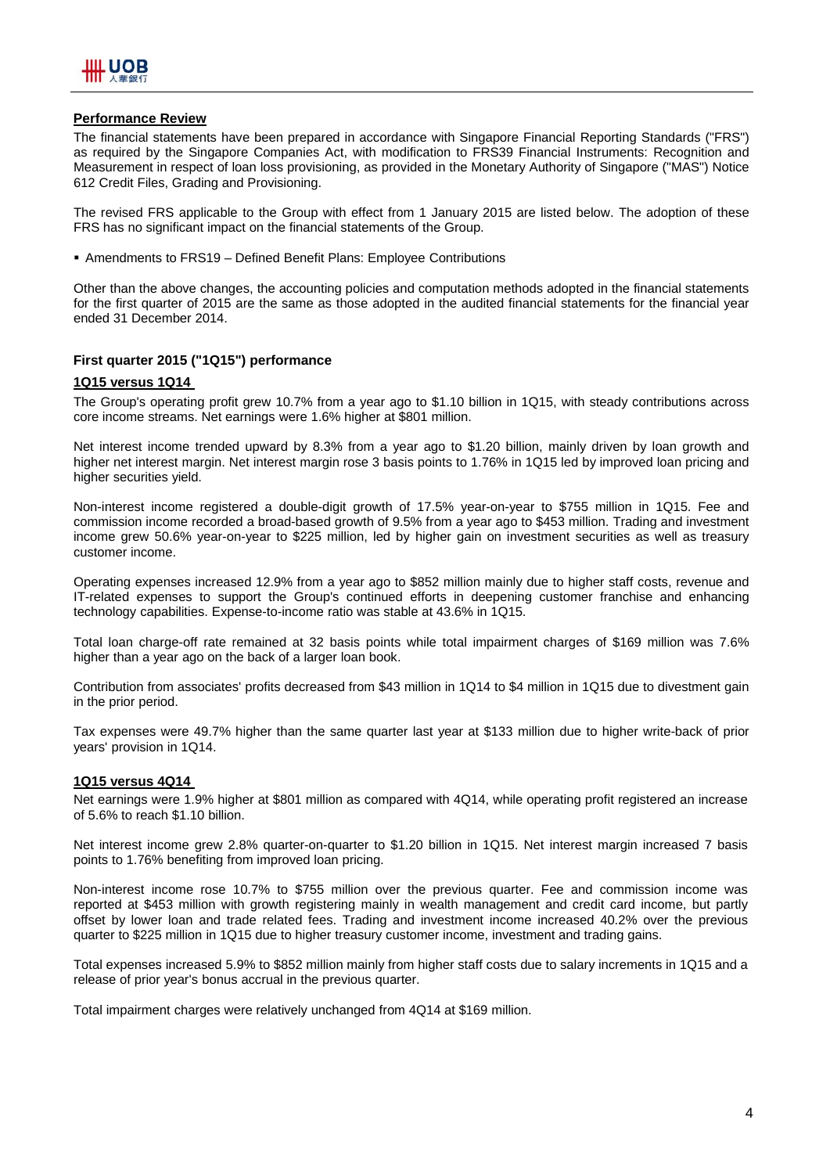

## **Performance Review**

The financial statements have been prepared in accordance with Singapore Financial Reporting Standards ("FRS") as required by the Singapore Companies Act, with modification to FRS39 Financial Instruments: Recognition and Measurement in respect of loan loss provisioning, as provided in the Monetary Authority of Singapore ("MAS") Notice 612 Credit Files, Grading and Provisioning.

The revised FRS applicable to the Group with effect from 1 January 2015 are listed below. The adoption of these FRS has no significant impact on the financial statements of the Group.

Amendments to FRS19 – Defined Benefit Plans: Employee Contributions

Other than the above changes, the accounting policies and computation methods adopted in the financial statements for the first quarter of 2015 are the same as those adopted in the audited financial statements for the financial year ended 31 December 2014.

## **First quarter 2015 ("1Q15") performance**

### **1Q15 versus 1Q14**

The Group's operating profit grew 10.7% from a year ago to \$1.10 billion in 1Q15, with steady contributions across core income streams. Net earnings were 1.6% higher at \$801 million.

Net interest income trended upward by 8.3% from a year ago to \$1.20 billion, mainly driven by loan growth and higher net interest margin. Net interest margin rose 3 basis points to 1.76% in 1Q15 led by improved loan pricing and higher securities yield.

Non-interest income registered a double-digit growth of 17.5% year-on-year to \$755 million in 1Q15. Fee and commission income recorded a broad-based growth of 9.5% from a year ago to \$453 million. Trading and investment income grew 50.6% year-on-year to \$225 million, led by higher gain on investment securities as well as treasury customer income.

Operating expenses increased 12.9% from a year ago to \$852 million mainly due to higher staff costs, revenue and IT-related expenses to support the Group's continued efforts in deepening customer franchise and enhancing technology capabilities. Expense-to-income ratio was stable at 43.6% in 1Q15.

Total loan charge-off rate remained at 32 basis points while total impairment charges of \$169 million was 7.6% higher than a year ago on the back of a larger loan book.

Contribution from associates' profits decreased from \$43 million in 1Q14 to \$4 million in 1Q15 due to divestment gain in the prior period.

Tax expenses were 49.7% higher than the same quarter last year at \$133 million due to higher write-back of prior years' provision in 1Q14.

#### **1Q15 versus 4Q14**

Net earnings were 1.9% higher at \$801 million as compared with 4Q14, while operating profit registered an increase of 5.6% to reach \$1.10 billion.

Net interest income grew 2.8% quarter-on-quarter to \$1.20 billion in 1Q15. Net interest margin increased 7 basis points to 1.76% benefiting from improved loan pricing.

Non-interest income rose 10.7% to \$755 million over the previous quarter. Fee and commission income was reported at \$453 million with growth registering mainly in wealth management and credit card income, but partly offset by lower loan and trade related fees. Trading and investment income increased 40.2% over the previous quarter to \$225 million in 1Q15 due to higher treasury customer income, investment and trading gains.

Total expenses increased 5.9% to \$852 million mainly from higher staff costs due to salary increments in 1Q15 and a release of prior year's bonus accrual in the previous quarter.

Total impairment charges were relatively unchanged from 4Q14 at \$169 million.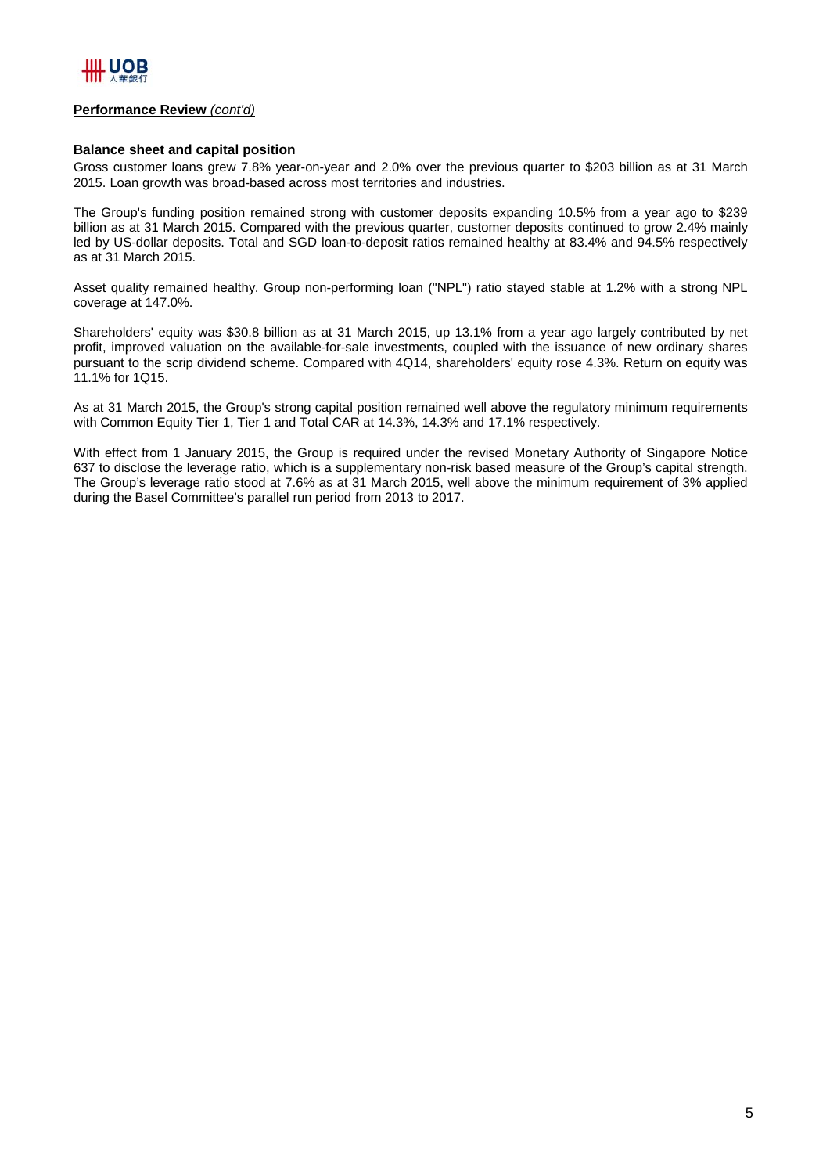

### **Performance Review** *(cont'd)*

### **Balance sheet and capital position**

Gross customer loans grew 7.8% year-on-year and 2.0% over the previous quarter to \$203 billion as at 31 March 2015. Loan growth was broad-based across most territories and industries.

The Group's funding position remained strong with customer deposits expanding 10.5% from a year ago to \$239 billion as at 31 March 2015. Compared with the previous quarter, customer deposits continued to grow 2.4% mainly led by US-dollar deposits. Total and SGD loan-to-deposit ratios remained healthy at 83.4% and 94.5% respectively as at 31 March 2015.

Asset quality remained healthy. Group non-performing loan ("NPL") ratio stayed stable at 1.2% with a strong NPL coverage at 147.0%.

Shareholders' equity was \$30.8 billion as at 31 March 2015, up 13.1% from a year ago largely contributed by net profit, improved valuation on the available-for-sale investments, coupled with the issuance of new ordinary shares pursuant to the scrip dividend scheme. Compared with 4Q14, shareholders' equity rose 4.3%. Return on equity was 11.1% for 1Q15.

As at 31 March 2015, the Group's strong capital position remained well above the regulatory minimum requirements with Common Equity Tier 1, Tier 1 and Total CAR at 14.3%, 14.3% and 17.1% respectively.

With effect from 1 January 2015, the Group is required under the revised Monetary Authority of Singapore Notice 637 to disclose the leverage ratio, which is a supplementary non-risk based measure of the Group's capital strength. The Group's leverage ratio stood at 7.6% as at 31 March 2015, well above the minimum requirement of 3% applied during the Basel Committee's parallel run period from 2013 to 2017.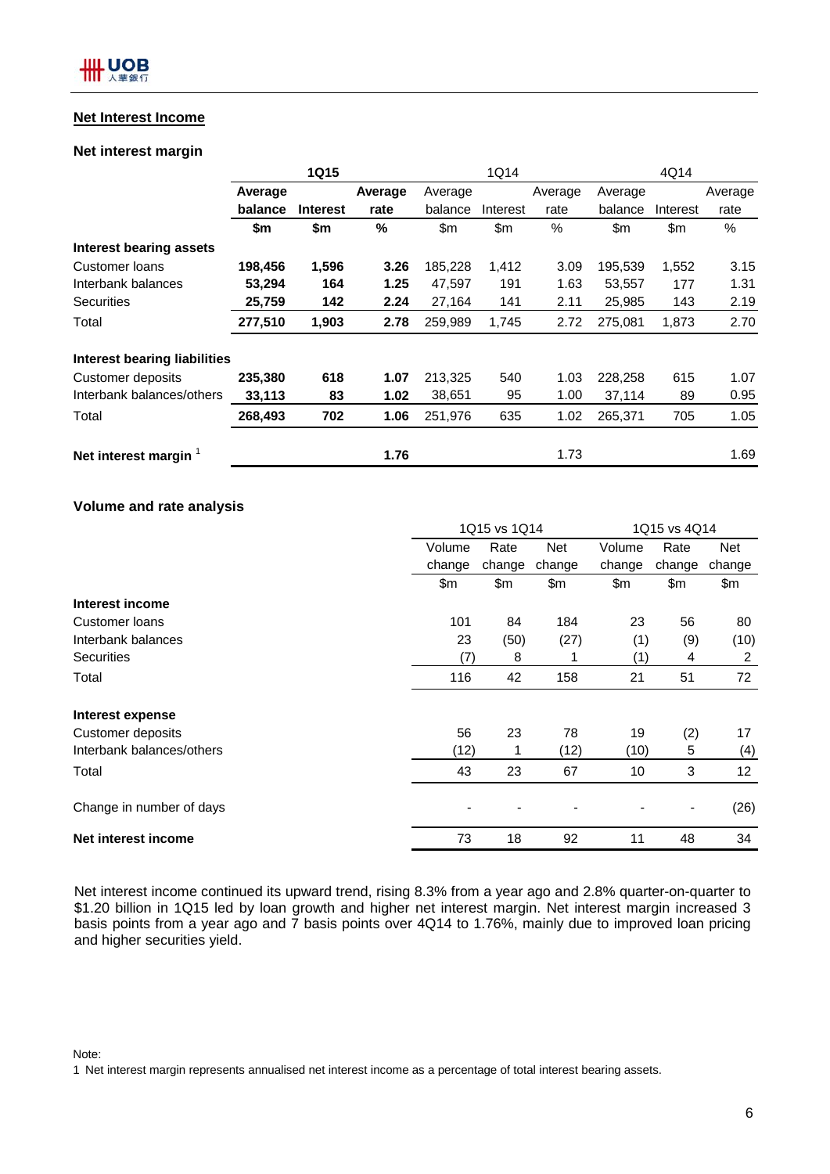## **Net Interest Income**

## **Net interest margin**

|                              |         | <b>1Q15</b>     |         |         | 1Q14     |         |         | 4Q14     |         |
|------------------------------|---------|-----------------|---------|---------|----------|---------|---------|----------|---------|
|                              | Average |                 | Average | Average |          | Average | Average |          | Average |
|                              | balance | <b>Interest</b> | rate    | balance | Interest | rate    | balance | Interest | rate    |
|                              | \$m     | \$m             | %       | \$m     | \$m\$    | $\%$    | \$m     | \$m      | $\%$    |
| Interest bearing assets      |         |                 |         |         |          |         |         |          |         |
| Customer loans               | 198,456 | 1,596           | 3.26    | 185,228 | 1,412    | 3.09    | 195,539 | 1,552    | 3.15    |
| Interbank balances           | 53,294  | 164             | 1.25    | 47,597  | 191      | 1.63    | 53,557  | 177      | 1.31    |
| <b>Securities</b>            | 25,759  | 142             | 2.24    | 27,164  | 141      | 2.11    | 25,985  | 143      | 2.19    |
| Total                        | 277,510 | 1,903           | 2.78    | 259,989 | 1,745    | 2.72    | 275,081 | 1,873    | 2.70    |
| Interest bearing liabilities |         |                 |         |         |          |         |         |          |         |
| <b>Customer deposits</b>     | 235,380 | 618             | 1.07    | 213,325 | 540      | 1.03    | 228,258 | 615      | 1.07    |
| Interbank balances/others    | 33,113  | 83              | 1.02    | 38,651  | 95       | 1.00    | 37,114  | 89       | 0.95    |
| Total                        | 268,493 | 702             | 1.06    | 251,976 | 635      | 1.02    | 265,371 | 705      | 1.05    |
| Net interest margin          |         |                 | 1.76    |         |          | 1.73    |         |          | 1.69    |

## **Volume and rate analysis**

|                           | 1Q15 vs 1Q14 |        |        | 1Q15 vs 4Q14 |                |        |  |
|---------------------------|--------------|--------|--------|--------------|----------------|--------|--|
|                           | Volume       | Rate   | Net    | Volume       | Rate           | Net    |  |
|                           | change       | change | change | change       | change         | change |  |
|                           | \$m          | \$m    | \$m    | \$m          | \$m            | \$m\$  |  |
| Interest income           |              |        |        |              |                |        |  |
| Customer loans            | 101          | 84     | 184    | 23           | 56             | 80     |  |
| Interbank balances        | 23           | (50)   | (27)   | (1)          | (9)            | (10)   |  |
| <b>Securities</b>         | (7)          | 8      |        | (1)          | 4              | 2      |  |
| Total                     | 116          | 42     | 158    | 21           | 51             | 72     |  |
| Interest expense          |              |        |        |              |                |        |  |
| Customer deposits         | 56           | 23     | 78     | 19           | (2)            | 17     |  |
| Interbank balances/others | (12)         |        | (12)   | (10)         | 5              | (4)    |  |
| Total                     | 43           | 23     | 67     | 10           | 3              | 12     |  |
| Change in number of days  |              |        |        |              | $\blacksquare$ | (26)   |  |
| Net interest income       | 73           | 18     | 92     | 11           | 48             | 34     |  |

Net interest income continued its upward trend, rising 8.3% from a year ago and 2.8% quarter-on-quarter to \$1.20 billion in 1Q15 led by loan growth and higher net interest margin. Net interest margin increased 3 basis points from a year ago and 7 basis points over 4Q14 to 1.76%, mainly due to improved loan pricing and higher securities yield.

Note:

1 Net interest margin represents annualised net interest income as a percentage of total interest bearing assets.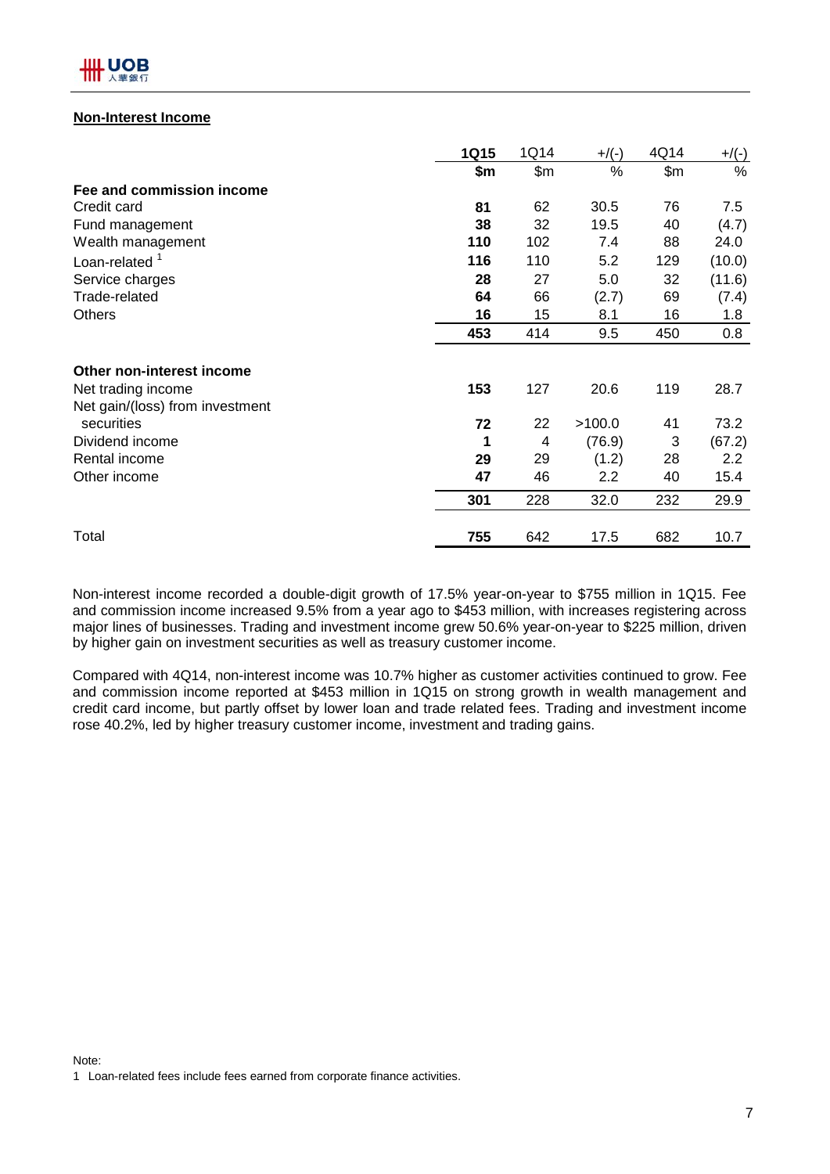

## **Non-Interest Income**

|                                 | 1Q15 | 1Q14  | $+$ /(-) | 4Q14  | $+/(-)$ |
|---------------------------------|------|-------|----------|-------|---------|
|                                 | \$m  | \$m\$ | %        | \$m\$ | $\%$    |
| Fee and commission income       |      |       |          |       |         |
| Credit card                     | 81   | 62    | 30.5     | 76    | 7.5     |
| Fund management                 | 38   | 32    | 19.5     | 40    | (4.7)   |
| Wealth management               | 110  | 102   | 7.4      | 88    | 24.0    |
| Loan-related $1$                | 116  | 110   | 5.2      | 129   | (10.0)  |
| Service charges                 | 28   | 27    | 5.0      | 32    | (11.6)  |
| Trade-related                   | 64   | 66    | (2.7)    | 69    | (7.4)   |
| <b>Others</b>                   | 16   | 15    | 8.1      | 16    | 1.8     |
|                                 | 453  | 414   | 9.5      | 450   | 0.8     |
| Other non-interest income       |      |       |          |       |         |
| Net trading income              | 153  | 127   | 20.6     | 119   | 28.7    |
| Net gain/(loss) from investment |      |       |          |       |         |
| securities                      | 72   | 22    | >100.0   | 41    | 73.2    |
| Dividend income                 | 1    | 4     | (76.9)   | 3     | (67.2)  |
| Rental income                   | 29   | 29    | (1.2)    | 28    | 2.2     |
| Other income                    | 47   | 46    | 2.2      | 40    | 15.4    |
|                                 | 301  | 228   | 32.0     | 232   | 29.9    |
| Total                           | 755  | 642   | 17.5     | 682   | 10.7    |

Non-interest income recorded a double-digit growth of 17.5% year-on-year to \$755 million in 1Q15. Fee and commission income increased 9.5% from a year ago to \$453 million, with increases registering across major lines of businesses. Trading and investment income grew 50.6% year-on-year to \$225 million, driven by higher gain on investment securities as well as treasury customer income.

Compared with 4Q14, non-interest income was 10.7% higher as customer activities continued to grow. Fee and commission income reported at \$453 million in 1Q15 on strong growth in wealth management and credit card income, but partly offset by lower loan and trade related fees. Trading and investment income rose 40.2%, led by higher treasury customer income, investment and trading gains.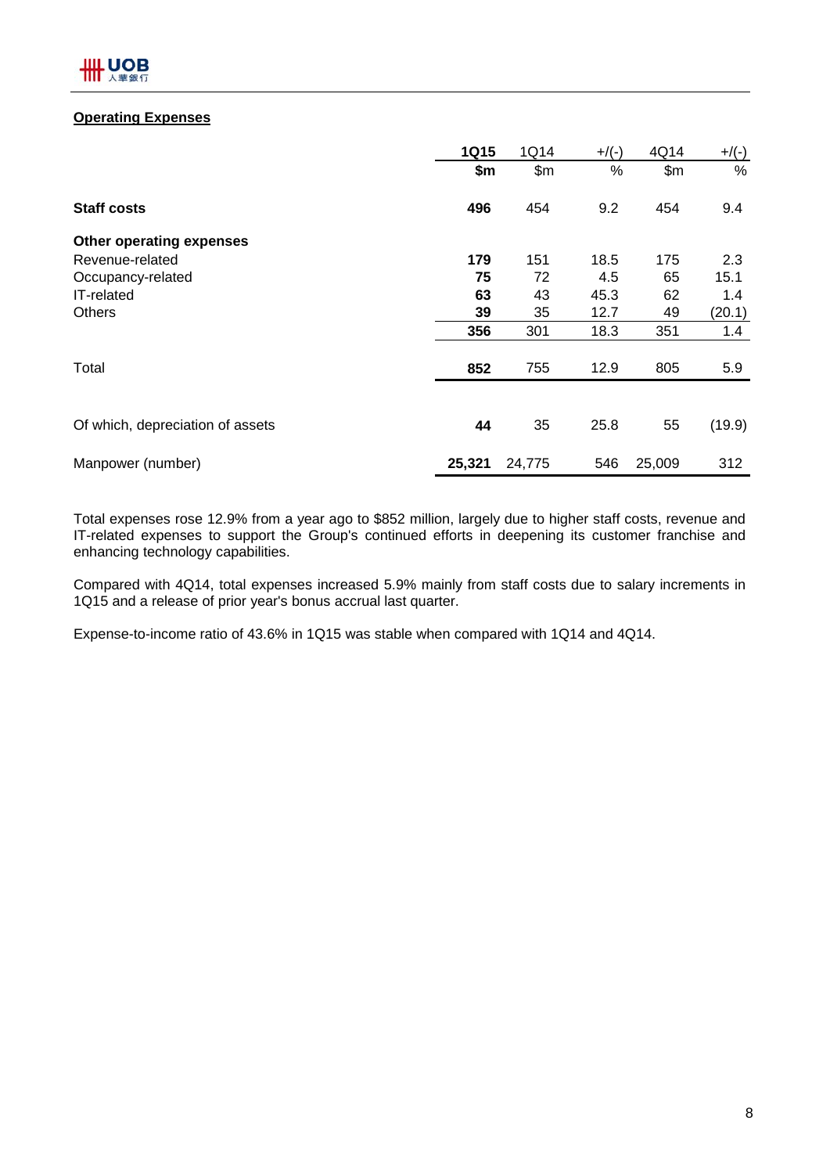## **Operating Expenses**

|                                  | <b>1Q15</b> | 1Q14   | $+/(-)$ | 4Q14   | $+/(-)$ |
|----------------------------------|-------------|--------|---------|--------|---------|
|                                  | \$m         | \$m\$  | $\%$    | \$m\$  | %       |
| <b>Staff costs</b>               | 496         | 454    | 9.2     | 454    | 9.4     |
| Other operating expenses         |             |        |         |        |         |
| Revenue-related                  | 179         | 151    | 18.5    | 175    | 2.3     |
| Occupancy-related                | 75          | 72     | 4.5     | 65     | 15.1    |
| IT-related                       | 63          | 43     | 45.3    | 62     | 1.4     |
| <b>Others</b>                    | 39          | 35     | 12.7    | 49     | (20.1)  |
|                                  | 356         | 301    | 18.3    | 351    | 1.4     |
| Total                            | 852         | 755    | 12.9    | 805    | 5.9     |
|                                  |             |        |         |        |         |
| Of which, depreciation of assets | 44          | 35     | 25.8    | 55     | (19.9)  |
| Manpower (number)                | 25,321      | 24,775 | 546     | 25,009 | 312     |

Total expenses rose 12.9% from a year ago to \$852 million, largely due to higher staff costs, revenue and IT-related expenses to support the Group's continued efforts in deepening its customer franchise and enhancing technology capabilities.

Compared with 4Q14, total expenses increased 5.9% mainly from staff costs due to salary increments in 1Q15 and a release of prior year's bonus accrual last quarter.

Expense-to-income ratio of 43.6% in 1Q15 was stable when compared with 1Q14 and 4Q14.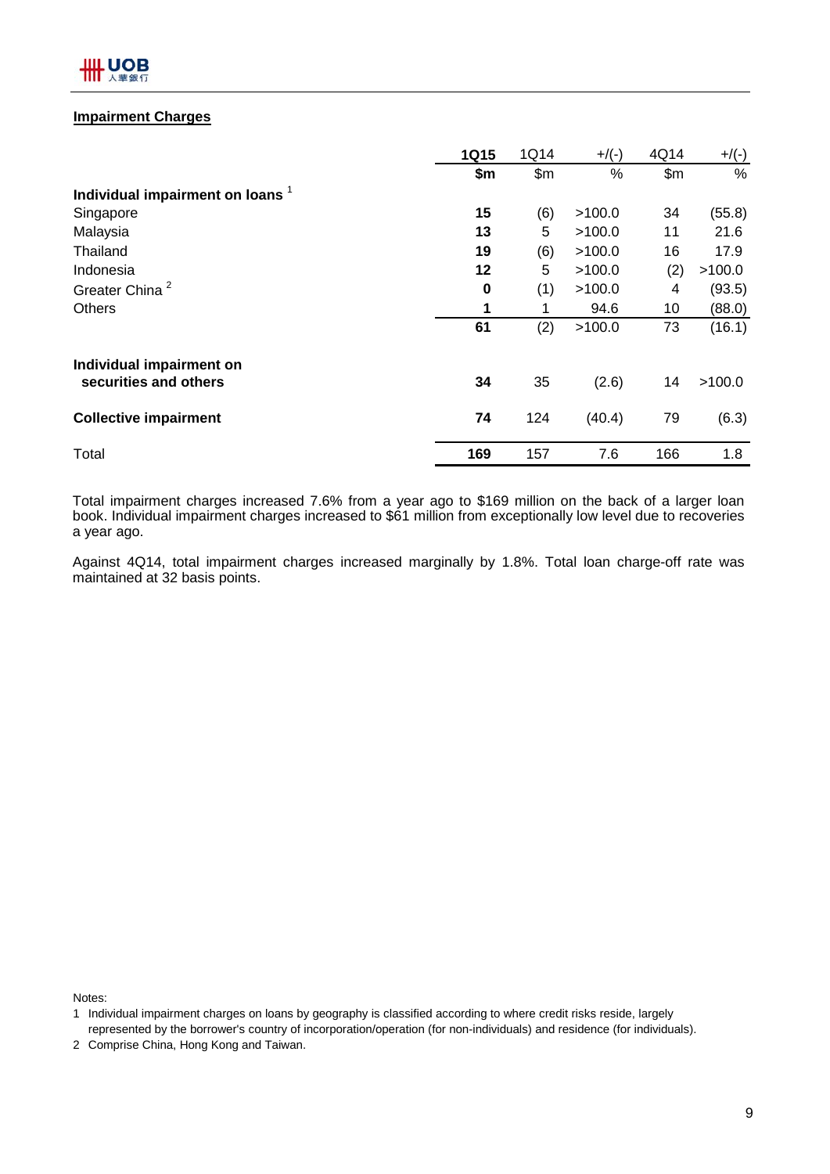

## **Impairment Charges**

|                                             | <b>1Q15</b> | 1Q14  | $+/(-)$ | 4Q14  | $+/(-)$ |
|---------------------------------------------|-------------|-------|---------|-------|---------|
|                                             | \$m         | \$m\$ | $\%$    | \$m\$ | %       |
| Individual impairment on loans <sup>1</sup> |             |       |         |       |         |
| Singapore                                   | 15          | (6)   | >100.0  | 34    | (55.8)  |
| Malaysia                                    | 13          | 5     | >100.0  | 11    | 21.6    |
| Thailand                                    | 19          | (6)   | >100.0  | 16    | 17.9    |
| Indonesia                                   | 12          | 5     | >100.0  | (2)   | >100.0  |
| Greater China <sup>2</sup>                  | 0           | (1)   | >100.0  | 4     | (93.5)  |
| <b>Others</b>                               | 1           | 1     | 94.6    | 10    | (88.0)  |
|                                             | 61          | (2)   | >100.0  | 73    | (16.1)  |
| Individual impairment on                    |             |       |         |       |         |
| securities and others                       | 34          | 35    | (2.6)   | 14    | >100.0  |
| <b>Collective impairment</b>                | 74          | 124   | (40.4)  | 79    | (6.3)   |
| Total                                       | 169         | 157   | 7.6     | 166   | 1.8     |

Total impairment charges increased 7.6% from a year ago to \$169 million on the back of a larger loan book. Individual impairment charges increased to \$61 million from exceptionally low level due to recoveries a year ago.

Against 4Q14, total impairment charges increased marginally by 1.8%. Total loan charge-off rate was maintained at 32 basis points.

Notes:

<sup>1</sup> Individual impairment charges on loans by geography is classified according to where credit risks reside, largely represented by the borrower's country of incorporation/operation (for non-individuals) and residence (for individuals).

<sup>2</sup> Comprise China, Hong Kong and Taiwan.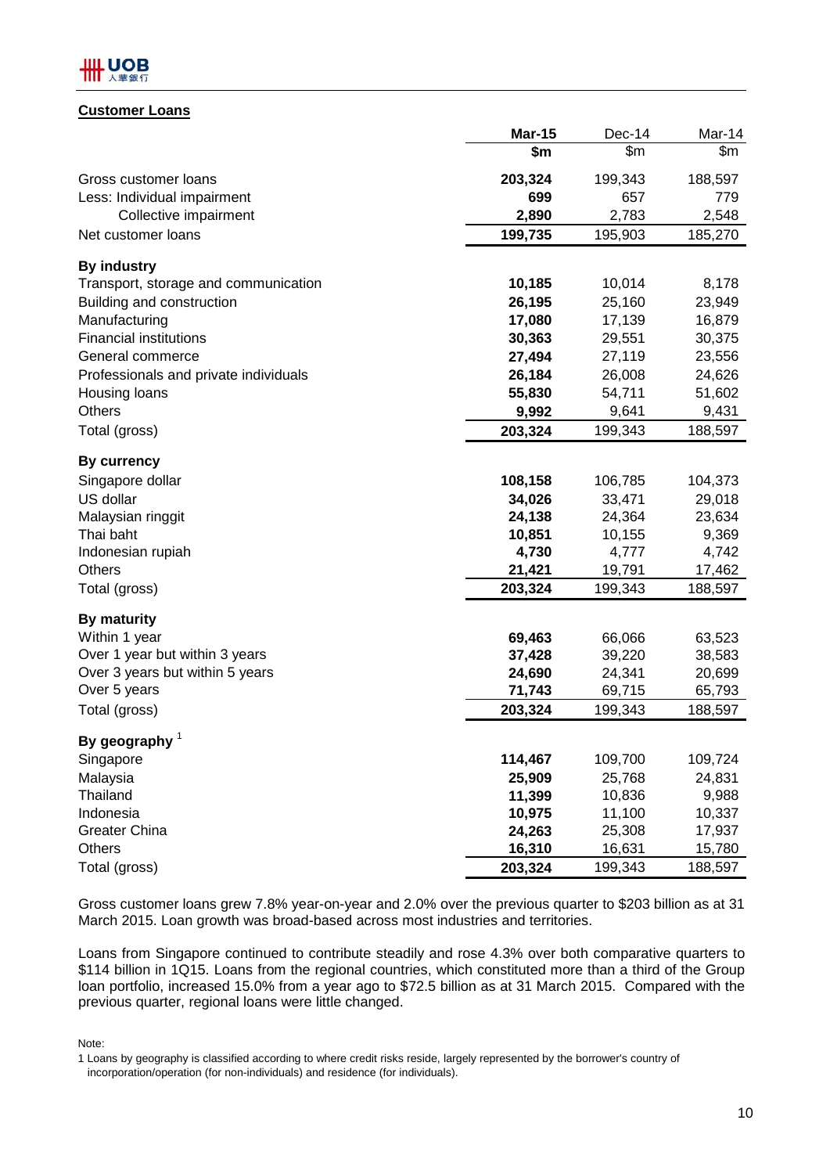## .UOB

## **Customer Loans**

|                                       | <b>Mar-15</b> | Dec-14  | Mar-14  |
|---------------------------------------|---------------|---------|---------|
|                                       | \$m           | \$m     | \$m     |
| Gross customer loans                  | 203,324       | 199,343 | 188,597 |
| Less: Individual impairment           | 699           | 657     | 779     |
| Collective impairment                 | 2,890         | 2,783   | 2,548   |
| Net customer loans                    | 199,735       | 195,903 | 185,270 |
| <b>By industry</b>                    |               |         |         |
| Transport, storage and communication  | 10,185        | 10,014  | 8,178   |
| Building and construction             | 26,195        | 25,160  | 23,949  |
| Manufacturing                         | 17,080        | 17,139  | 16,879  |
| <b>Financial institutions</b>         | 30,363        | 29,551  | 30,375  |
| General commerce                      | 27,494        | 27,119  | 23,556  |
| Professionals and private individuals | 26,184        | 26,008  | 24,626  |
| Housing loans                         | 55,830        | 54,711  | 51,602  |
| <b>Others</b>                         | 9,992         | 9,641   | 9,431   |
| Total (gross)                         | 203,324       | 199,343 | 188,597 |
| <b>By currency</b>                    |               |         |         |
| Singapore dollar                      | 108,158       | 106,785 | 104,373 |
| US dollar                             | 34,026        | 33,471  | 29,018  |
| Malaysian ringgit                     | 24,138        | 24,364  | 23,634  |
| Thai baht                             | 10,851        | 10,155  | 9,369   |
| Indonesian rupiah                     | 4,730         | 4,777   | 4,742   |
| <b>Others</b>                         | 21,421        | 19,791  | 17,462  |
| Total (gross)                         | 203,324       | 199,343 | 188,597 |
| <b>By maturity</b>                    |               |         |         |
| Within 1 year                         | 69,463        | 66,066  | 63,523  |
| Over 1 year but within 3 years        | 37,428        | 39,220  | 38,583  |
| Over 3 years but within 5 years       | 24,690        | 24,341  | 20,699  |
| Over 5 years                          | 71,743        | 69,715  | 65,793  |
| Total (gross)                         | 203,324       | 199,343 | 188,597 |
| By geography $1$                      |               |         |         |
| Singapore                             | 114,467       | 109,700 | 109,724 |
| Malaysia                              | 25,909        | 25,768  | 24,831  |
| <b>Thailand</b>                       | 11,399        | 10,836  | 9,988   |
| Indonesia                             | 10,975        | 11,100  | 10,337  |
| <b>Greater China</b>                  | 24,263        | 25,308  | 17,937  |
| <b>Others</b>                         | 16,310        | 16,631  | 15,780  |
| Total (gross)                         | 203,324       | 199,343 | 188,597 |

Gross customer loans grew 7.8% year-on-year and 2.0% over the previous quarter to \$203 billion as at 31 March 2015. Loan growth was broad-based across most industries and territories.

Loans from Singapore continued to contribute steadily and rose 4.3% over both comparative quarters to \$114 billion in 1Q15. Loans from the regional countries, which constituted more than a third of the Group loan portfolio, increased 15.0% from a year ago to \$72.5 billion as at 31 March 2015. Compared with the previous quarter, regional loans were little changed.

Note:

<sup>1</sup> Loans by geography is classified according to where credit risks reside, largely represented by the borrower's country of incorporation/operation (for non-individuals) and residence (for individuals).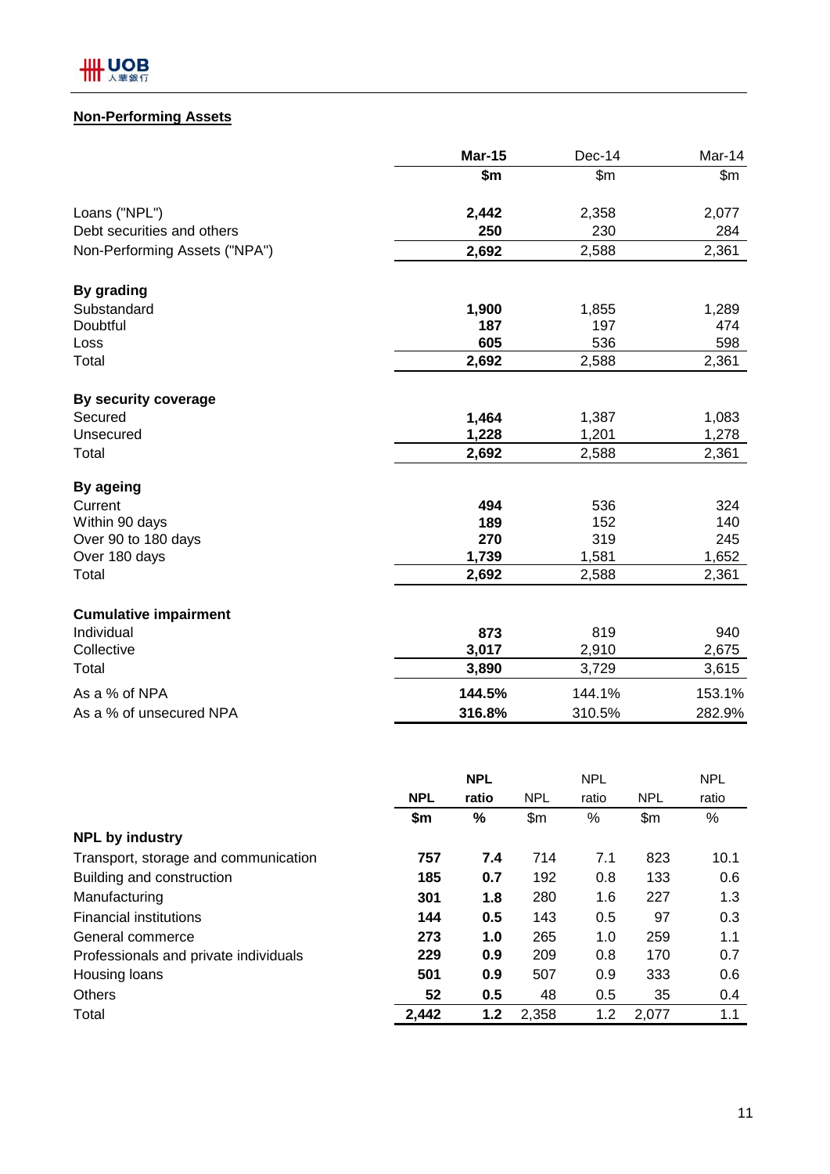

## **Non-Performing Assets**

| \$m<br>Loans ("NPL")<br>2,442<br>Debt securities and others<br>250<br>Non-Performing Assets ("NPA")<br>2,692<br>By grading<br>Substandard<br>1,900<br>187<br>Doubtful<br>605<br>Loss<br>Total<br>2,692 | $\mathsf{Sm}$<br>2,358<br>230<br>2,588<br>1,855<br>197<br>536<br>2,588 | \$m<br>2,077<br>284<br>2,361<br>1,289<br>474 |
|--------------------------------------------------------------------------------------------------------------------------------------------------------------------------------------------------------|------------------------------------------------------------------------|----------------------------------------------|
|                                                                                                                                                                                                        |                                                                        |                                              |
|                                                                                                                                                                                                        |                                                                        |                                              |
|                                                                                                                                                                                                        |                                                                        |                                              |
|                                                                                                                                                                                                        |                                                                        |                                              |
|                                                                                                                                                                                                        |                                                                        |                                              |
|                                                                                                                                                                                                        |                                                                        |                                              |
|                                                                                                                                                                                                        |                                                                        |                                              |
|                                                                                                                                                                                                        |                                                                        | 598                                          |
|                                                                                                                                                                                                        |                                                                        | 2,361                                        |
| By security coverage                                                                                                                                                                                   |                                                                        |                                              |
| Secured<br>1,464                                                                                                                                                                                       | 1,387                                                                  | 1,083                                        |
| 1,228<br>Unsecured                                                                                                                                                                                     | 1,201                                                                  | 1,278                                        |
| Total<br>2,692                                                                                                                                                                                         | 2,588                                                                  | 2,361                                        |
| By ageing                                                                                                                                                                                              |                                                                        |                                              |
| Current<br>494                                                                                                                                                                                         | 536                                                                    | 324                                          |
| 189<br>Within 90 days                                                                                                                                                                                  | 152                                                                    | 140                                          |
| Over 90 to 180 days<br>270                                                                                                                                                                             | 319                                                                    | 245                                          |
| Over 180 days<br>1,739                                                                                                                                                                                 | 1,581                                                                  | 1,652                                        |
| Total<br>2,692                                                                                                                                                                                         | 2,588                                                                  | 2,361                                        |
| <b>Cumulative impairment</b>                                                                                                                                                                           |                                                                        |                                              |
| Individual<br>873                                                                                                                                                                                      | 819                                                                    | 940                                          |
| Collective<br>3,017                                                                                                                                                                                    | 2,910                                                                  | 2,675                                        |
| Total<br>3,890                                                                                                                                                                                         | 3,729                                                                  | 3,615                                        |
| As a % of NPA<br>144.5%                                                                                                                                                                                | 144.1%                                                                 | 153.1%                                       |
| As a % of unsecured NPA<br>316.8%                                                                                                                                                                      | 310.5%                                                                 | 282.9%                                       |

|            | <b>NPL</b> |            | <b>NPL</b> |            | <b>NPL</b> |
|------------|------------|------------|------------|------------|------------|
| <b>NPL</b> | ratio      | <b>NPL</b> | ratio      | <b>NPL</b> | ratio      |
| \$m        | $\%$       | \$m\$      | %          | \$m\$      | $\%$       |
|            |            |            |            |            |            |
| 757        | 7.4        | 714        | 7.1        | 823        | 10.1       |
| 185        | 0.7        | 192        | 0.8        | 133        | 0.6        |
| 301        | 1.8        | 280        | 1.6        | 227        | 1.3        |
| 144        | 0.5        | 143        | 0.5        | 97         | 0.3        |
| 273        | 1.0        | 265        | 1.0        | 259        | 1.1        |
| 229        | 0.9        | 209        | 0.8        | 170        | 0.7        |
| 501        | 0.9        | 507        | 0.9        | 333        | 0.6        |
| 52         | 0.5        | 48         | 0.5        | 35         | 0.4        |
| 2,442      | 1.2        | 2,358      | 1.2        | 2,077      | 1.1        |
|            |            |            |            |            |            |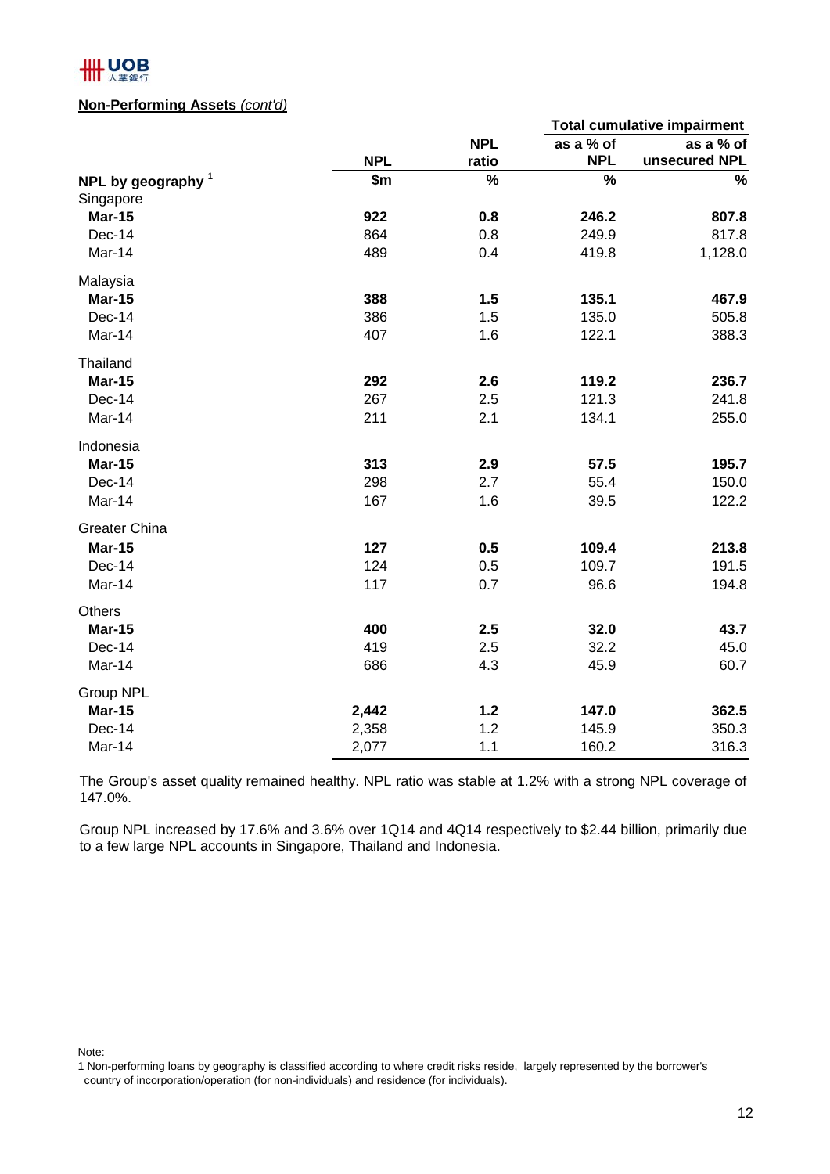

## **Non-Performing Assets** *(cont'd)*

|                      |            |            |            | <b>Total cumulative impairment</b> |
|----------------------|------------|------------|------------|------------------------------------|
|                      |            | <b>NPL</b> | as a % of  | as a % of                          |
|                      | <b>NPL</b> | ratio      | <b>NPL</b> | unsecured NPL                      |
| NPL by geography $1$ | \$m        | $\%$       | %          | $\%$                               |
| Singapore            |            |            |            |                                    |
| <b>Mar-15</b>        | 922        | 0.8        | 246.2      | 807.8                              |
| Dec-14               | 864        | 0.8        | 249.9      | 817.8                              |
| Mar-14               | 489        | 0.4        | 419.8      | 1,128.0                            |
| Malaysia             |            |            |            |                                    |
| <b>Mar-15</b>        | 388        | 1.5        | 135.1      | 467.9                              |
| Dec-14               | 386        | 1.5        | 135.0      | 505.8                              |
| Mar-14               | 407        | 1.6        | 122.1      | 388.3                              |
| Thailand             |            |            |            |                                    |
| <b>Mar-15</b>        | 292        | 2.6        | 119.2      | 236.7                              |
| Dec-14               | 267        | 2.5        | 121.3      | 241.8                              |
| Mar-14               | 211        | 2.1        | 134.1      | 255.0                              |
| Indonesia            |            |            |            |                                    |
| <b>Mar-15</b>        | 313        | 2.9        | 57.5       | 195.7                              |
| Dec-14               | 298        | 2.7        | 55.4       | 150.0                              |
| Mar-14               | 167        | 1.6        | 39.5       | 122.2                              |
| <b>Greater China</b> |            |            |            |                                    |
| <b>Mar-15</b>        | 127        | 0.5        | 109.4      | 213.8                              |
| Dec-14               | 124        | 0.5        | 109.7      | 191.5                              |
| Mar-14               | 117        | 0.7        | 96.6       | 194.8                              |
| <b>Others</b>        |            |            |            |                                    |
| <b>Mar-15</b>        | 400        | 2.5        | 32.0       | 43.7                               |
| Dec-14               | 419        | 2.5        | 32.2       | 45.0                               |
| Mar-14               | 686        | 4.3        | 45.9       | 60.7                               |
| Group NPL            |            |            |            |                                    |
| <b>Mar-15</b>        | 2,442      | 1.2        | 147.0      | 362.5                              |
| Dec-14               | 2,358      | 1.2        | 145.9      | 350.3                              |
| Mar-14               | 2,077      | 1.1        | 160.2      | 316.3                              |

The Group's asset quality remained healthy. NPL ratio was stable at 1.2% with a strong NPL coverage of 147.0%.

Group NPL increased by 17.6% and 3.6% over 1Q14 and 4Q14 respectively to \$2.44 billion, primarily due to a few large NPL accounts in Singapore, Thailand and Indonesia.

Note:

<sup>1</sup> Non-performing loans by geography is classified according to where credit risks reside, largely represented by the borrower's country of incorporation/operation (for non-individuals) and residence (for individuals).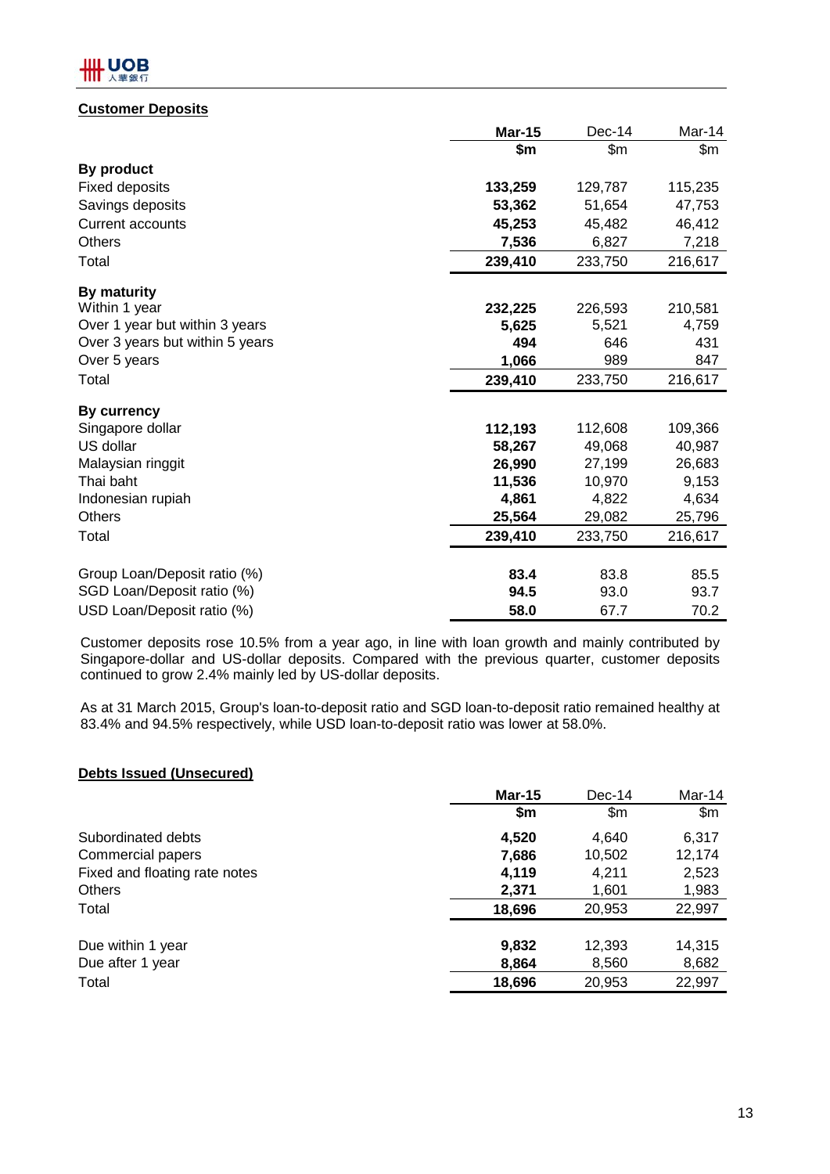## **HILL UOB**

## **Customer Deposits**

|                                 | <b>Mar-15</b> | $Dec-14$ | Mar-14  |
|---------------------------------|---------------|----------|---------|
|                                 | \$m           | \$m      | \$m     |
| By product                      |               |          |         |
| <b>Fixed deposits</b>           | 133,259       | 129,787  | 115,235 |
| Savings deposits                | 53,362        | 51,654   | 47,753  |
| <b>Current accounts</b>         | 45,253        | 45,482   | 46,412  |
| <b>Others</b>                   | 7,536         | 6,827    | 7,218   |
| Total                           | 239,410       | 233,750  | 216,617 |
| By maturity                     |               |          |         |
| Within 1 year                   | 232,225       | 226,593  | 210,581 |
| Over 1 year but within 3 years  | 5,625         | 5,521    | 4,759   |
| Over 3 years but within 5 years | 494           | 646      | 431     |
| Over 5 years                    | 1,066         | 989      | 847     |
| Total                           | 239,410       | 233,750  | 216,617 |
| <b>By currency</b>              |               |          |         |
| Singapore dollar                | 112,193       | 112,608  | 109,366 |
| US dollar                       | 58,267        | 49,068   | 40,987  |
| Malaysian ringgit               | 26,990        | 27,199   | 26,683  |
| Thai baht                       | 11,536        | 10,970   | 9,153   |
| Indonesian rupiah               | 4,861         | 4,822    | 4,634   |
| <b>Others</b>                   | 25,564        | 29,082   | 25,796  |
| Total                           | 239,410       | 233,750  | 216,617 |
| Group Loan/Deposit ratio (%)    | 83.4          | 83.8     | 85.5    |
| SGD Loan/Deposit ratio (%)      | 94.5          | 93.0     | 93.7    |
| USD Loan/Deposit ratio (%)      | 58.0          | 67.7     | 70.2    |

Customer deposits rose 10.5% from a year ago, in line with loan growth and mainly contributed by Singapore-dollar and US-dollar deposits. Compared with the previous quarter, customer deposits continued to grow 2.4% mainly led by US-dollar deposits.

As at 31 March 2015, Group's loan-to-deposit ratio and SGD loan-to-deposit ratio remained healthy at 83.4% and 94.5% respectively, while USD loan-to-deposit ratio was lower at 58.0%.

## **Debts Issued (Unsecured)**

|                               | <b>Mar-15</b> | $Dec-14$ | Mar-14 |
|-------------------------------|---------------|----------|--------|
|                               | \$m           | \$m\$    | \$m    |
| Subordinated debts            | 4,520         | 4,640    | 6,317  |
| Commercial papers             | 7,686         | 10,502   | 12,174 |
| Fixed and floating rate notes | 4,119         | 4,211    | 2,523  |
| <b>Others</b>                 | 2,371         | 1,601    | 1,983  |
| Total                         | 18,696        | 20,953   | 22,997 |
| Due within 1 year             | 9,832         | 12,393   | 14,315 |
| Due after 1 year              | 8,864         | 8,560    | 8,682  |
| Total                         | 18,696        | 20,953   | 22,997 |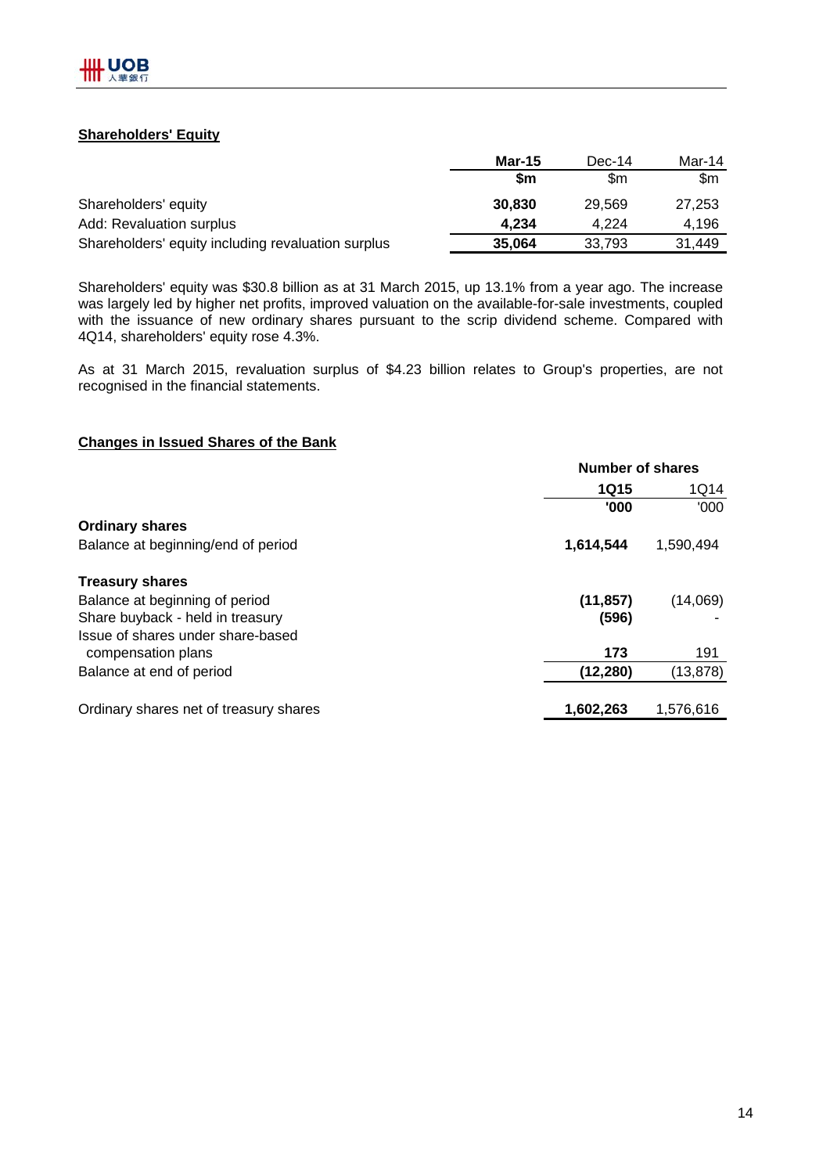## **Shareholders' Equity**

|                                                    | <b>Mar-15</b> | Dec-14 | Mar-14 |
|----------------------------------------------------|---------------|--------|--------|
|                                                    | \$m           | \$m    | \$m    |
| Shareholders' equity                               | 30,830        | 29.569 | 27,253 |
| Add: Revaluation surplus                           | 4.234         | 4.224  | 4.196  |
| Shareholders' equity including revaluation surplus | 35,064        | 33.793 | 31,449 |

Shareholders' equity was \$30.8 billion as at 31 March 2015, up 13.1% from a year ago. The increase was largely led by higher net profits, improved valuation on the available-for-sale investments, coupled with the issuance of new ordinary shares pursuant to the scrip dividend scheme. Compared with 4Q14, shareholders' equity rose 4.3%.

As at 31 March 2015, revaluation surplus of \$4.23 billion relates to Group's properties, are not recognised in the financial statements.

## **Changes in Issued Shares of the Bank**

|             | <b>Number of shares</b> |  |  |
|-------------|-------------------------|--|--|
| <b>1Q15</b> |                         |  |  |
| '000        | '000                    |  |  |
|             |                         |  |  |
| 1,614,544   | 1,590,494               |  |  |
|             |                         |  |  |
| (11, 857)   | (14,069)                |  |  |
| (596)       |                         |  |  |
|             |                         |  |  |
| 173         | 191                     |  |  |
| (12, 280)   | (13, 878)               |  |  |
| 1,602,263   | 1,576,616               |  |  |
|             |                         |  |  |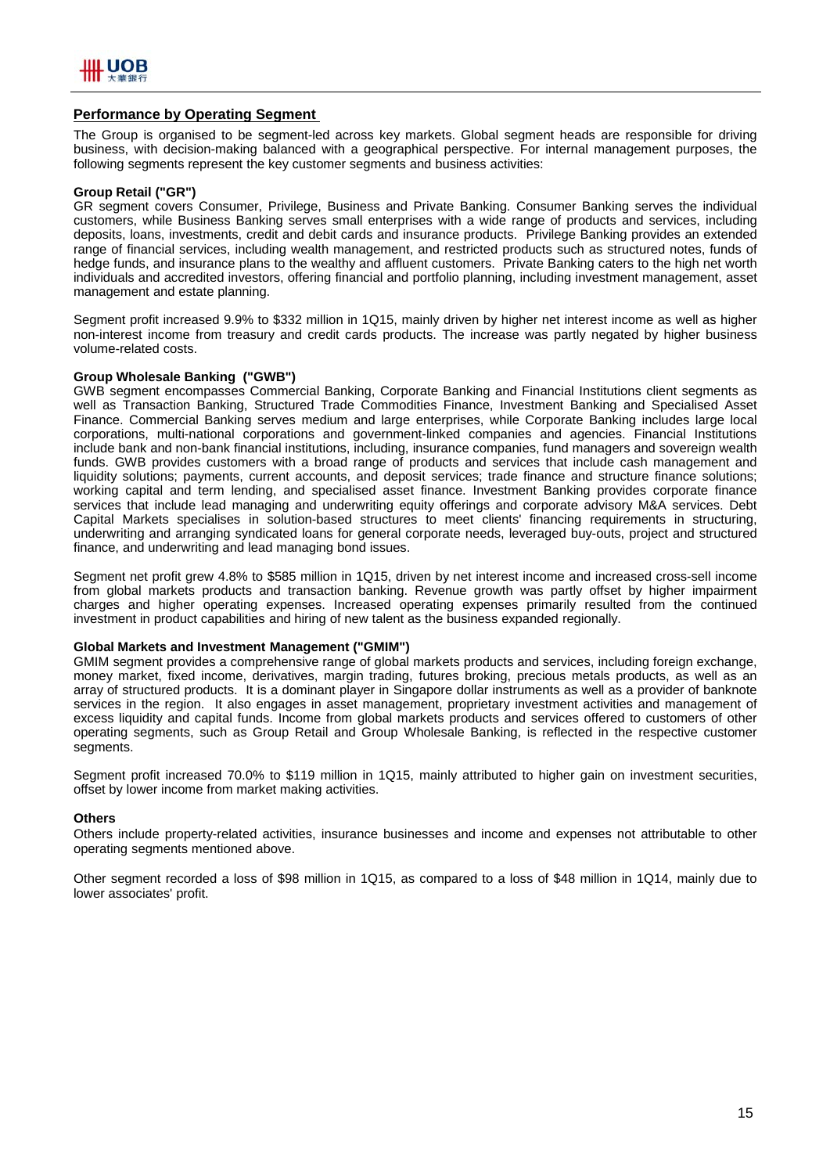

### **Performance by Operating Segment**

The Group is organised to be segment-led across key markets. Global segment heads are responsible for driving business, with decision-making balanced with a geographical perspective. For internal management purposes, the following segments represent the key customer segments and business activities:

### **Group Retail ("GR")**

GR segment covers Consumer, Privilege, Business and Private Banking. Consumer Banking serves the individual customers, while Business Banking serves small enterprises with a wide range of products and services, including deposits, loans, investments, credit and debit cards and insurance products. Privilege Banking provides an extended range of financial services, including wealth management, and restricted products such as structured notes, funds of hedge funds, and insurance plans to the wealthy and affluent customers. Private Banking caters to the high net worth individuals and accredited investors, offering financial and portfolio planning, including investment management, asset management and estate planning.

Segment profit increased 9.9% to \$332 million in 1Q15, mainly driven by higher net interest income as well as higher non-interest income from treasury and credit cards products. The increase was partly negated by higher business volume-related costs.

### **Group Wholesale Banking ("GWB")**

GWB segment encompasses Commercial Banking, Corporate Banking and Financial Institutions client segments as well as Transaction Banking, Structured Trade Commodities Finance, Investment Banking and Specialised Asset Finance. Commercial Banking serves medium and large enterprises, while Corporate Banking includes large local corporations, multi-national corporations and government-linked companies and agencies. Financial Institutions include bank and non-bank financial institutions, including, insurance companies, fund managers and sovereign wealth funds. GWB provides customers with a broad range of products and services that include cash management and liquidity solutions; payments, current accounts, and deposit services; trade finance and structure finance solutions; working capital and term lending, and specialised asset finance. Investment Banking provides corporate finance services that include lead managing and underwriting equity offerings and corporate advisory M&A services. Debt Capital Markets specialises in solution-based structures to meet clients' financing requirements in structuring, underwriting and arranging syndicated loans for general corporate needs, leveraged buy-outs, project and structured finance, and underwriting and lead managing bond issues.

Segment net profit grew 4.8% to \$585 million in 1Q15, driven by net interest income and increased cross-sell income from global markets products and transaction banking. Revenue growth was partly offset by higher impairment charges and higher operating expenses. Increased operating expenses primarily resulted from the continued investment in product capabilities and hiring of new talent as the business expanded regionally.

### **Global Markets and Investment Management ("GMIM")**

GMIM segment provides a comprehensive range of global markets products and services, including foreign exchange, money market, fixed income, derivatives, margin trading, futures broking, precious metals products, as well as an array of structured products. It is a dominant player in Singapore dollar instruments as well as a provider of banknote services in the region. It also engages in asset management, proprietary investment activities and management of excess liquidity and capital funds. Income from global markets products and services offered to customers of other operating segments, such as Group Retail and Group Wholesale Banking, is reflected in the respective customer segments.

Seament profit increased 70.0% to \$119 million in 1Q15, mainly attributed to higher gain on investment securities, offset by lower income from market making activities.

#### **Others**

Others include property-related activities, insurance businesses and income and expenses not attributable to other operating segments mentioned above.

Other segment recorded a loss of \$98 million in 1Q15, as compared to a loss of \$48 million in 1Q14, mainly due to lower associates' profit.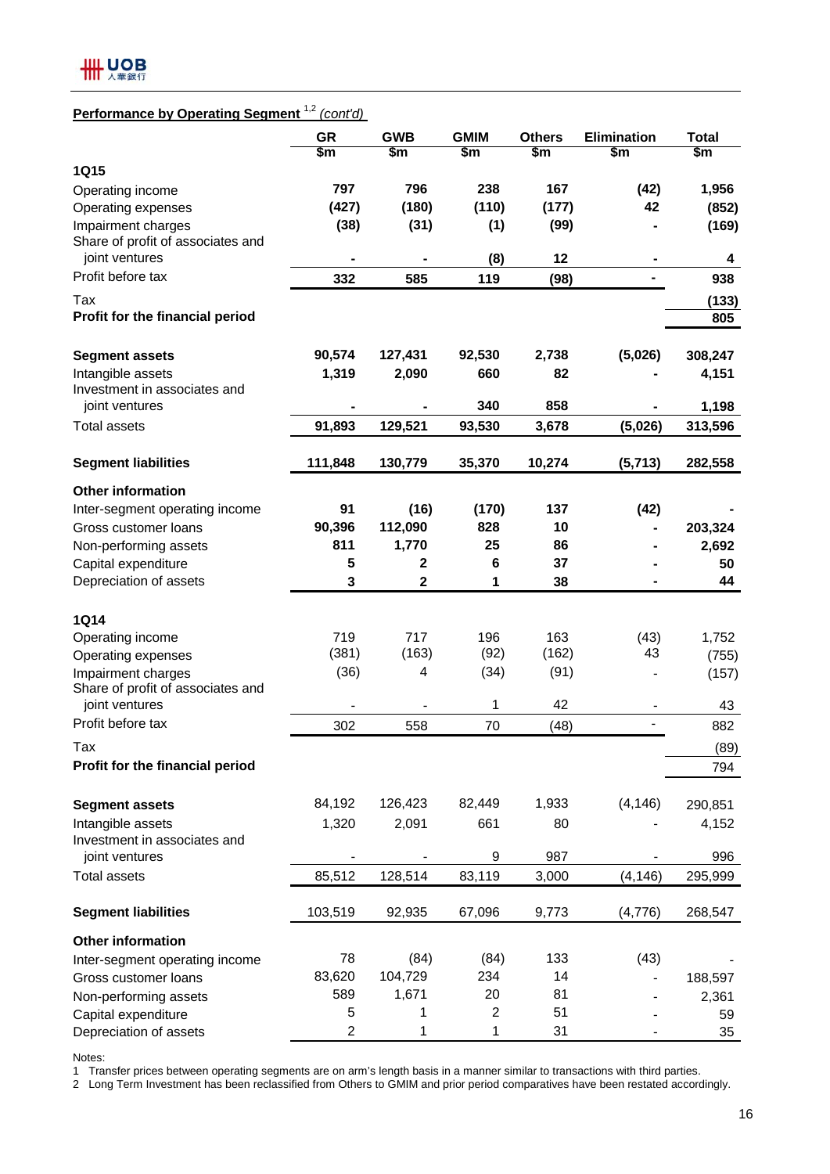

## **Performance by Operating Segment** 1,2 *(cont'd)*

|                                                | <b>GR</b><br>\$m | <b>GWB</b><br>\$m       | <b>GMIM</b><br>\$m | <b>Others</b><br>\$m | <b>Elimination</b><br>\$m | <b>Total</b><br>\$m |
|------------------------------------------------|------------------|-------------------------|--------------------|----------------------|---------------------------|---------------------|
| <b>1Q15</b>                                    |                  |                         |                    |                      |                           |                     |
| Operating income                               | 797              | 796                     | 238                | 167                  | (42)                      | 1,956               |
| Operating expenses                             | (427)            | (180)                   | (110)              | (177)                | 42                        | (852)               |
| Impairment charges                             | (38)             | (31)                    | (1)                | (99)                 |                           | (169)               |
| Share of profit of associates and              |                  |                         |                    |                      |                           |                     |
| joint ventures                                 |                  |                         | (8)                | 12                   |                           | 4                   |
| Profit before tax                              | 332              | 585                     | 119                | (98)                 |                           | 938                 |
| Tax                                            |                  |                         |                    |                      |                           | (133)               |
| Profit for the financial period                |                  |                         |                    |                      |                           | 805                 |
|                                                | 90,574           | 127,431                 | 92,530             | 2,738                | (5,026)                   | 308,247             |
| <b>Segment assets</b><br>Intangible assets     | 1,319            |                         | 660                | 82                   |                           |                     |
| Investment in associates and                   |                  | 2,090                   |                    |                      |                           | 4,151               |
| joint ventures                                 |                  |                         | 340                | 858                  |                           | 1,198               |
| <b>Total assets</b>                            | 91,893           | 129,521                 | 93,530             | 3,678                | (5,026)                   | 313,596             |
| <b>Segment liabilities</b>                     | 111,848          | 130,779                 | 35,370             | 10,274               | (5, 713)                  | 282,558             |
|                                                |                  |                         |                    |                      |                           |                     |
| <b>Other information</b>                       |                  |                         |                    |                      |                           |                     |
| Inter-segment operating income                 | 91               | (16)                    | (170)              | 137                  | (42)                      |                     |
| Gross customer loans                           | 90,396           | 112,090                 | 828                | 10                   | ۰                         | 203,324             |
| Non-performing assets                          | 811              | 1,770                   | 25                 | 86                   |                           | 2,692               |
| Capital expenditure                            | 5                | $\mathbf{2}$            | $6\phantom{1}6$    | 37                   |                           | 50                  |
| Depreciation of assets                         | 3                | $\overline{\mathbf{2}}$ | 1                  | 38                   |                           | 44                  |
| <b>1Q14</b>                                    |                  |                         |                    |                      |                           |                     |
| Operating income                               | 719              | 717                     | 196                | 163                  | (43)                      | 1,752               |
| Operating expenses                             | (381)            | (163)                   | (92)               | (162)                | 43                        | (755)               |
| Impairment charges                             | (36)             | 4                       | (34)               | (91)                 |                           |                     |
| Share of profit of associates and              |                  |                         |                    |                      |                           | (157)               |
| joint ventures                                 |                  |                         | 1                  | 42                   | $\overline{\phantom{a}}$  | 43                  |
| Profit before tax                              | 302              | 558                     | 70                 | (48)                 | $\overline{a}$            | 882                 |
| Tax                                            |                  |                         |                    |                      |                           | (89)                |
| Profit for the financial period                |                  |                         |                    |                      |                           | 794                 |
| <b>Segment assets</b>                          | 84,192           | 126,423                 | 82,449             | 1,933                | (4, 146)                  | 290,851             |
| Intangible assets                              | 1,320            | 2,091                   | 661                | 80                   |                           | 4,152               |
| Investment in associates and<br>joint ventures |                  |                         | 9                  | 987                  |                           | 996                 |
| <b>Total assets</b>                            | 85,512           | 128,514                 | 83,119             | 3,000                | (4, 146)                  | 295,999             |
|                                                |                  |                         |                    |                      |                           |                     |
| <b>Segment liabilities</b>                     | 103,519          | 92,935                  | 67,096             | 9,773                | (4,776)                   | 268,547             |
| <b>Other information</b>                       |                  |                         |                    |                      |                           |                     |
| Inter-segment operating income                 | 78               | (84)                    | (84)               | 133                  | (43)                      |                     |
| Gross customer loans                           | 83,620           | 104,729                 | 234                | 14                   |                           | 188,597             |
| Non-performing assets                          | 589              | 1,671                   | 20                 | 81                   |                           | 2,361               |
| Capital expenditure                            | 5                | 1                       | 2                  | 51                   |                           | 59                  |
| Depreciation of assets                         | 2                | 1                       | 1                  | 31                   |                           | 35                  |

Notes:

1 Transfer prices between operating segments are on arm's length basis in a manner similar to transactions with third parties.

2 Long Term Investment has been reclassified from Others to GMIM and prior period comparatives have been restated accordingly.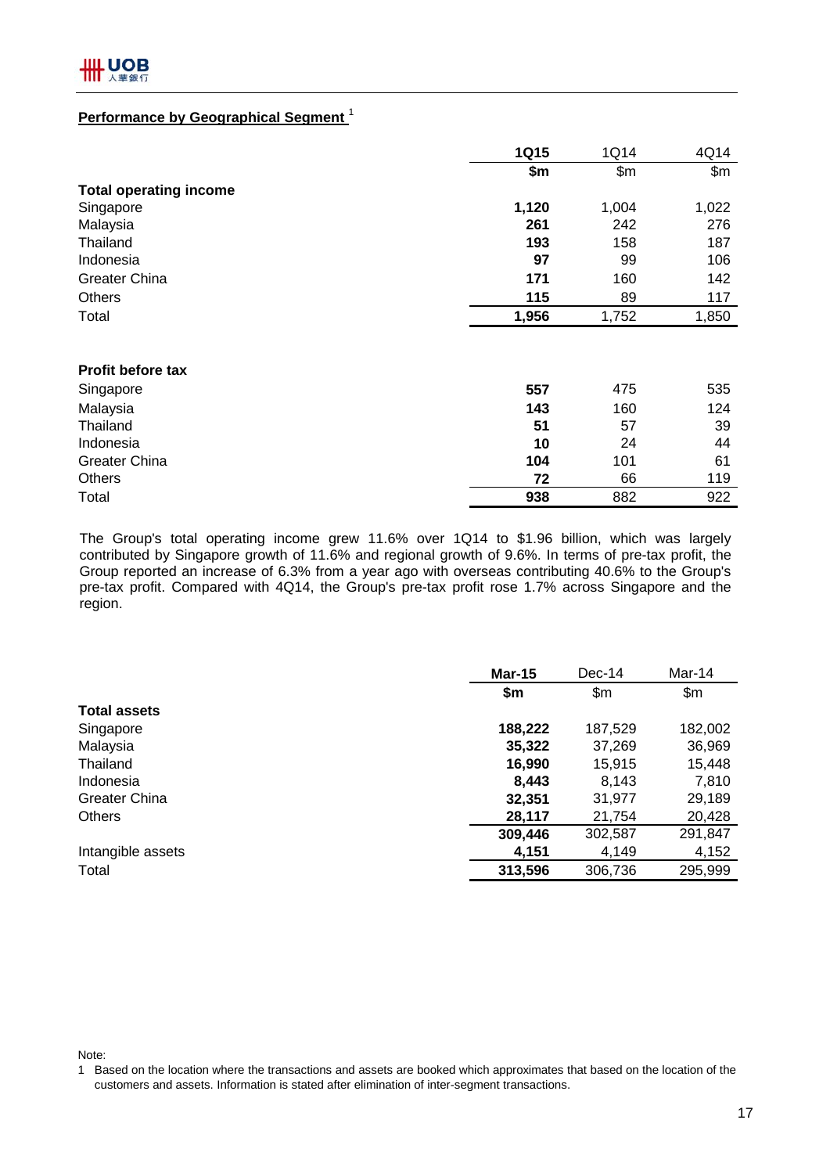## **Performance by Geographical Segment** <sup>1</sup>

|                               | <b>1Q15</b> | 1Q14  | 4Q14  |
|-------------------------------|-------------|-------|-------|
|                               | \$m         | \$m\$ | \$m\$ |
| <b>Total operating income</b> |             |       |       |
| Singapore                     | 1,120       | 1,004 | 1,022 |
| Malaysia                      | 261         | 242   | 276   |
| Thailand                      | 193         | 158   | 187   |
| Indonesia                     | 97          | 99    | 106   |
| <b>Greater China</b>          | 171         | 160   | 142   |
| <b>Others</b>                 | 115         | 89    | 117   |
| Total                         | 1,956       | 1,752 | 1,850 |
|                               |             |       |       |
| Profit before tax             |             |       |       |
| Singapore                     | 557         | 475   | 535   |
| Malaysia                      | 143         | 160   | 124   |
| Thailand                      | 51          | 57    | 39    |
| Indonesia                     | 10          | 24    | 44    |
| Greater China                 | 104         | 101   | 61    |
| <b>Others</b>                 | 72          | 66    | 119   |
| Total                         | 938         | 882   | 922   |

The Group's total operating income grew 11.6% over 1Q14 to \$1.96 billion, which was largely contributed by Singapore growth of 11.6% and regional growth of 9.6%. In terms of pre-tax profit, the Group reported an increase of 6.3% from a year ago with overseas contributing 40.6% to the Group's pre-tax profit. Compared with 4Q14, the Group's pre-tax profit rose 1.7% across Singapore and the region.

|                      | <b>Mar-15</b> | $Dec-14$       | Mar-14  |
|----------------------|---------------|----------------|---------|
|                      | \$m           | $\mathsf{S}$ m | \$m\$   |
| <b>Total assets</b>  |               |                |         |
| Singapore            | 188,222       | 187,529        | 182,002 |
| Malaysia             | 35,322        | 37,269         | 36,969  |
| Thailand             | 16,990        | 15,915         | 15,448  |
| Indonesia            | 8,443         | 8,143          | 7,810   |
| <b>Greater China</b> | 32,351        | 31,977         | 29,189  |
| <b>Others</b>        | 28,117        | 21,754         | 20,428  |
|                      | 309,446       | 302,587        | 291,847 |
| Intangible assets    | 4,151         | 4,149          | 4,152   |
| Total                | 313,596       | 306,736        | 295,999 |

Note:

<sup>1</sup> Based on the location where the transactions and assets are booked which approximates that based on the location of the customers and assets. Information is stated after elimination of inter-segment transactions.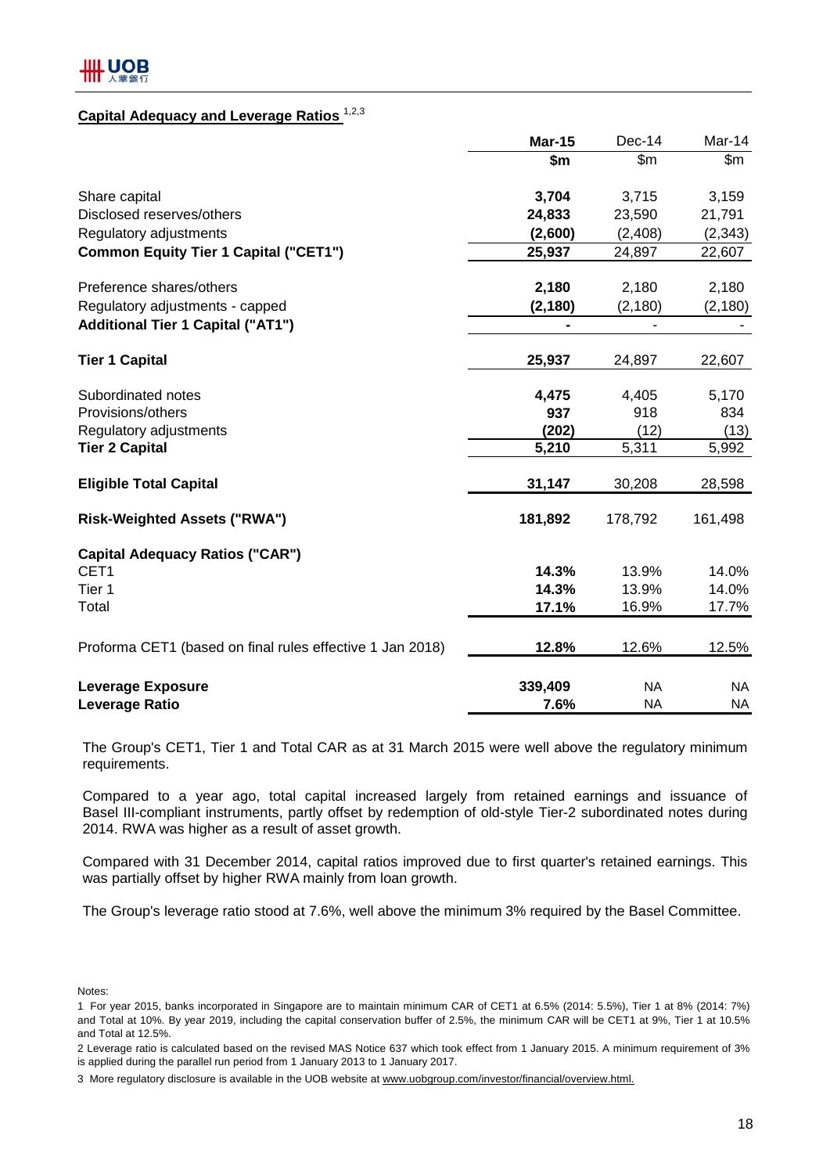## **Capital Adequacy and Leverage Ratios** 1,2,3

|                                                           | <b>Mar-15</b> | $Dec-14$      | Mar-14    |
|-----------------------------------------------------------|---------------|---------------|-----------|
|                                                           | \$m           | $\mathsf{Sm}$ | \$m       |
| Share capital                                             | 3,704         | 3,715         | 3,159     |
| Disclosed reserves/others                                 | 24,833        | 23,590        | 21,791    |
| Regulatory adjustments                                    | (2,600)       | (2,408)       | (2, 343)  |
| <b>Common Equity Tier 1 Capital ("CET1")</b>              | 25,937        | 24,897        | 22,607    |
| Preference shares/others                                  | 2,180         | 2,180         | 2,180     |
| Regulatory adjustments - capped                           | (2, 180)      | (2, 180)      | (2, 180)  |
| <b>Additional Tier 1 Capital ("AT1")</b>                  | -             |               |           |
| <b>Tier 1 Capital</b>                                     | 25,937        | 24,897        | 22,607    |
| Subordinated notes                                        | 4,475         | 4,405         | 5,170     |
| Provisions/others                                         | 937           | 918           | 834       |
| Regulatory adjustments                                    | (202)         | (12)          | (13)      |
| <b>Tier 2 Capital</b>                                     | 5,210         | 5,311         | 5,992     |
| <b>Eligible Total Capital</b>                             | 31,147        | 30,208        | 28,598    |
| <b>Risk-Weighted Assets ("RWA")</b>                       | 181,892       | 178,792       | 161,498   |
| <b>Capital Adequacy Ratios ("CAR")</b>                    |               |               |           |
| CET <sub>1</sub>                                          | 14.3%         | 13.9%         | 14.0%     |
| Tier 1                                                    | 14.3%         | 13.9%         | 14.0%     |
| Total                                                     | 17.1%         | 16.9%         | 17.7%     |
| Proforma CET1 (based on final rules effective 1 Jan 2018) | 12.8%         | 12.6%         | 12.5%     |
| <b>Leverage Exposure</b>                                  | 339,409       | <b>NA</b>     | <b>NA</b> |
| <b>Leverage Ratio</b>                                     | 7.6%          | <b>NA</b>     | <b>NA</b> |

The Group's CET1, Tier 1 and Total CAR as at 31 March 2015 were well above the regulatory minimum requirements.

Compared to a year ago, total capital increased largely from retained earnings and issuance of Basel III-compliant instruments, partly offset by redemption of old-style Tier-2 subordinated notes during 2014. RWA was higher as a result of asset growth.

Compared with 31 December 2014, capital ratios improved due to first quarter's retained earnings. This was partially offset by higher RWA mainly from loan growth.

The Group's leverage ratio stood at 7.6%, well above the minimum 3% required by the Basel Committee.

Notes:

2 Leverage ratio is calculated based on the revised MAS Notice 637 which took effect from 1 January 2015. A minimum requirement of 3% is applied during the parallel run period from 1 January 2013 to 1 January 2017.

<sup>1</sup> For year 2015, banks incorporated in Singapore are to maintain minimum CAR of CET1 at 6.5% (2014: 5.5%), Tier 1 at 8% (2014: 7%) and Total at 10%. By year 2019, including the capital conservation buffer of 2.5%, the minimum CAR will be CET1 at 9%, Tier 1 at 10.5% and Total at 12.5%.

<sup>3</sup> More regulatory disclosure is available in the UOB website at www.uobgroup.com/investor/financial/overview.html.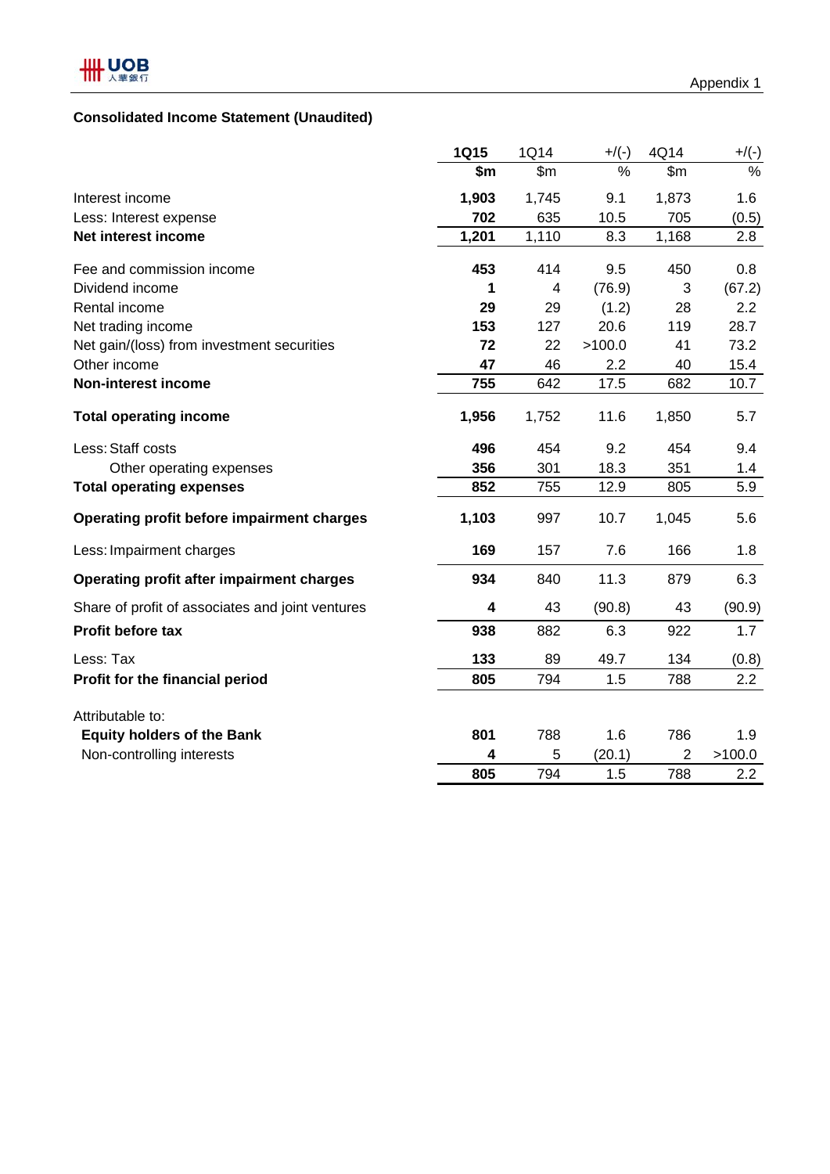## **Consolidated Income Statement (Unaudited)**

|                                                  | <b>1Q15</b>             | 1Q14           | $+$ /(-) | 4Q14           | $+/(-)$ |
|--------------------------------------------------|-------------------------|----------------|----------|----------------|---------|
|                                                  | \$m                     | $\mathsf{Sm}$  | $\%$     | $\mathsf{Sm}$  | $\%$    |
| Interest income                                  | 1,903                   | 1,745          | 9.1      | 1,873          | 1.6     |
| Less: Interest expense                           | 702                     | 635            | 10.5     | 705            | (0.5)   |
| Net interest income                              | 1,201                   | 1,110          | 8.3      | 1,168          | 2.8     |
| Fee and commission income                        | 453                     | 414            | 9.5      | 450            | 0.8     |
| Dividend income                                  | 1                       | $\overline{4}$ | (76.9)   | 3              | (67.2)  |
| Rental income                                    | 29                      | 29             | (1.2)    | 28             | 2.2     |
| Net trading income                               | 153                     | 127            | 20.6     | 119            | 28.7    |
| Net gain/(loss) from investment securities       | 72                      | 22             | >100.0   | 41             | 73.2    |
| Other income                                     | 47                      | 46             | 2.2      | 40             | 15.4    |
| <b>Non-interest income</b>                       | 755                     | 642            | 17.5     | 682            | 10.7    |
| <b>Total operating income</b>                    | 1,956                   | 1,752          | 11.6     | 1,850          | 5.7     |
| Less: Staff costs                                | 496                     | 454            | 9.2      | 454            | 9.4     |
| Other operating expenses                         | 356                     | 301            | 18.3     | 351            | 1.4     |
| <b>Total operating expenses</b>                  | 852                     | 755            | 12.9     | 805            | 5.9     |
| Operating profit before impairment charges       | 1,103                   | 997            | 10.7     | 1,045          | 5.6     |
| Less: Impairment charges                         | 169                     | 157            | 7.6      | 166            | 1.8     |
| <b>Operating profit after impairment charges</b> | 934                     | 840            | 11.3     | 879            | 6.3     |
| Share of profit of associates and joint ventures | $\overline{\mathbf{4}}$ | 43             | (90.8)   | 43             | (90.9)  |
| <b>Profit before tax</b>                         | 938                     | 882            | 6.3      | 922            | 1.7     |
| Less: Tax                                        | 133                     | 89             | 49.7     | 134            | (0.8)   |
| Profit for the financial period                  | 805                     | 794            | 1.5      | 788            | 2.2     |
| Attributable to:                                 |                         |                |          |                |         |
| <b>Equity holders of the Bank</b>                | 801                     | 788            | 1.6      | 786            | 1.9     |
| Non-controlling interests                        | 4                       | 5              | (20.1)   | $\overline{2}$ | >100.0  |
|                                                  | 805                     | 794            | 1.5      | 788            | 2.2     |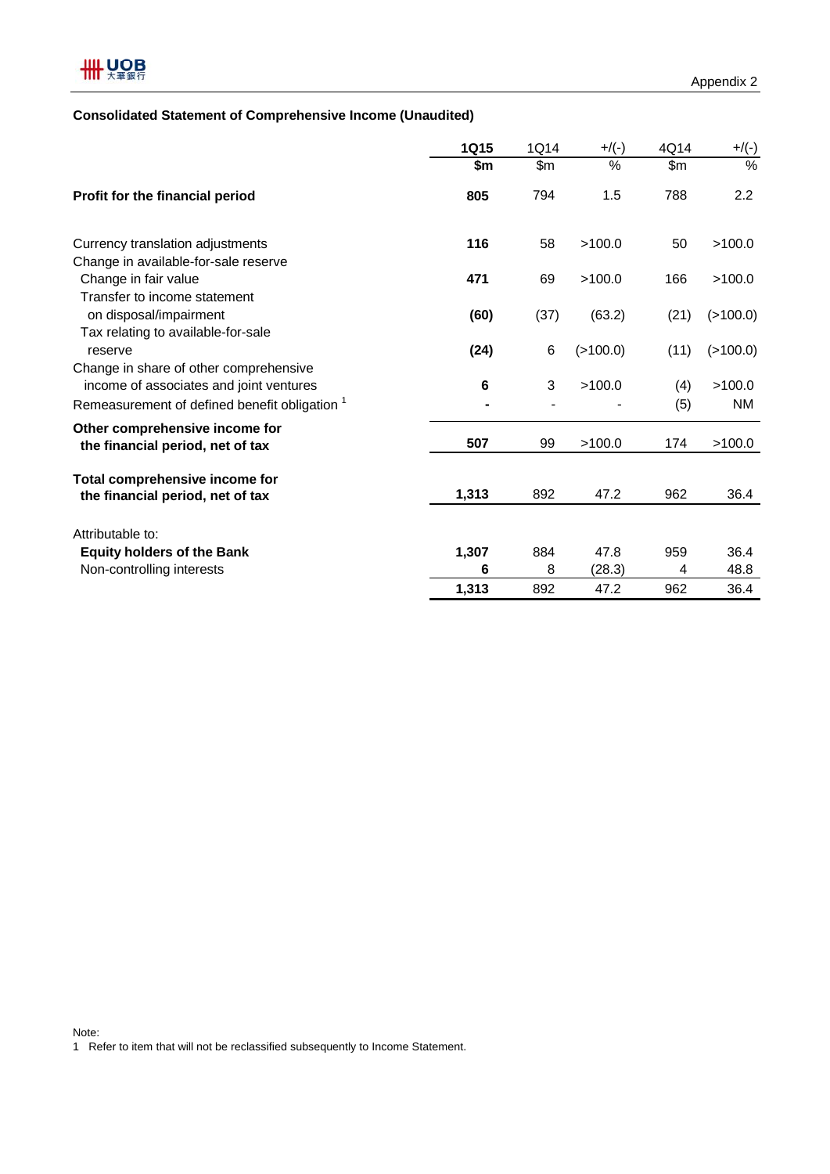

## **Consolidated Statement of Comprehensive Income (Unaudited)**

|                                                                                              | 1Q15  | 1Q14 | $+/(-)$  | 4Q14  | $+/(-)$       |
|----------------------------------------------------------------------------------------------|-------|------|----------|-------|---------------|
|                                                                                              | \$m   | \$m  | $\%$     | \$m\$ | $\frac{0}{0}$ |
| Profit for the financial period                                                              | 805   | 794  | 1.5      | 788   | 2.2           |
| Currency translation adjustments                                                             | 116   | 58   | >100.0   | 50    | >100.0        |
| Change in available-for-sale reserve                                                         |       |      |          |       |               |
| Change in fair value                                                                         | 471   | 69   | >100.0   | 166   | >100.0        |
| Transfer to income statement<br>on disposal/impairment<br>Tax relating to available-for-sale | (60)  | (37) | (63.2)   | (21)  | (>100.0)      |
| reserve                                                                                      | (24)  | 6    | (>100.0) | (11)  | (>100.0)      |
| Change in share of other comprehensive<br>income of associates and joint ventures            | 6     | 3    | >100.0   | (4)   | >100.0        |
| Remeasurement of defined benefit obligation <sup>1</sup>                                     |       |      |          | (5)   | <b>NM</b>     |
| Other comprehensive income for<br>the financial period, net of tax                           | 507   | 99   | >100.0   | 174   | >100.0        |
| Total comprehensive income for<br>the financial period, net of tax                           | 1,313 | 892  | 47.2     | 962   | 36.4          |
| Attributable to:                                                                             |       |      |          |       |               |
| <b>Equity holders of the Bank</b>                                                            | 1,307 | 884  | 47.8     | 959   | 36.4          |
| Non-controlling interests                                                                    | 6     | 8    | (28.3)   | 4     | 48.8          |
|                                                                                              | 1,313 | 892  | 47.2     | 962   | 36.4          |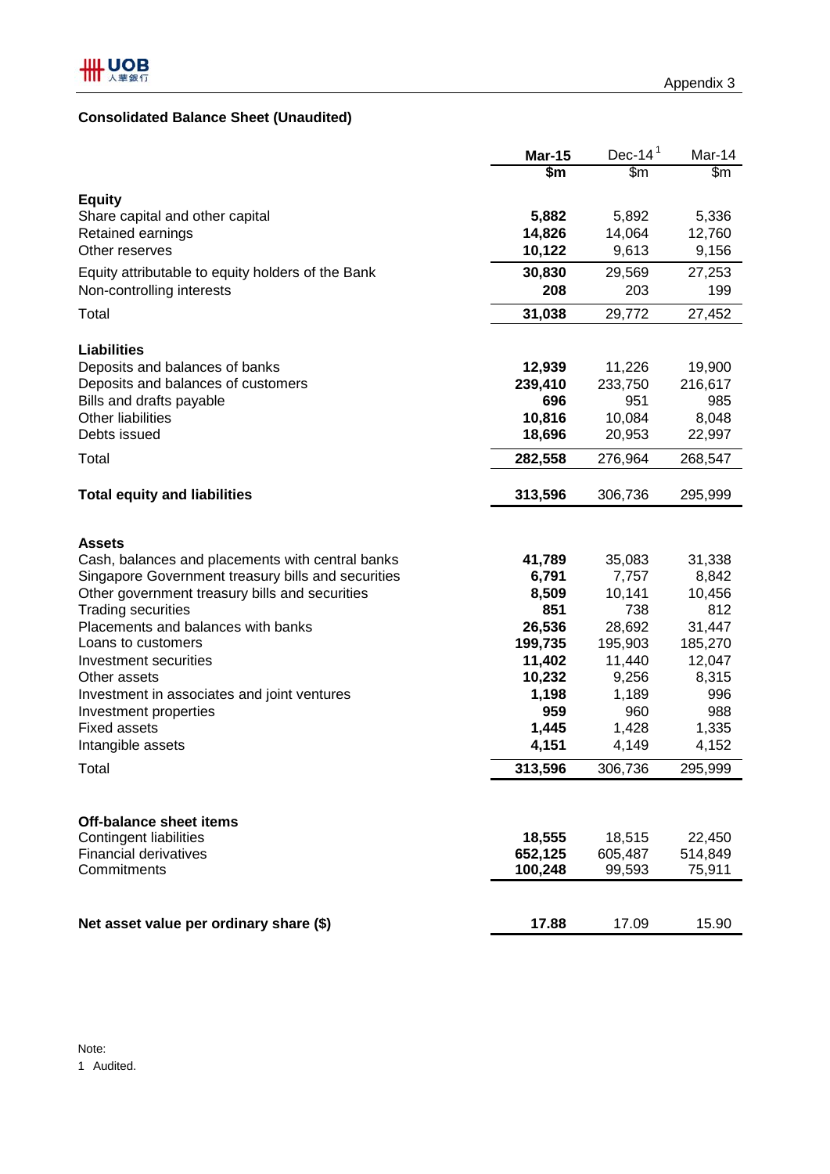## **Consolidated Balance Sheet (Unaudited)**

|                                                             | <b>Mar-15</b>   | Dec-14 $1$     | Mar-14       |
|-------------------------------------------------------------|-----------------|----------------|--------------|
|                                                             | \$m             | \$m\$          | \$m\$        |
| <b>Equity</b>                                               |                 |                |              |
| Share capital and other capital                             | 5,882           | 5,892          | 5,336        |
| Retained earnings                                           | 14,826          | 14,064         | 12,760       |
| Other reserves                                              | 10,122          | 9,613          | 9,156        |
| Equity attributable to equity holders of the Bank           | 30,830          | 29,569         | 27,253       |
| Non-controlling interests                                   | 208             | 203            | 199          |
| Total                                                       | 31,038          | 29,772         | 27,452       |
| <b>Liabilities</b>                                          |                 |                |              |
| Deposits and balances of banks                              | 12,939          | 11,226         | 19,900       |
| Deposits and balances of customers                          | 239,410         | 233,750        | 216,617      |
| Bills and drafts payable                                    | 696             | 951            | 985          |
| <b>Other liabilities</b>                                    | 10,816          | 10,084         | 8,048        |
| Debts issued                                                | 18,696          | 20,953         | 22,997       |
| Total                                                       | 282,558         | 276,964        | 268,547      |
| <b>Total equity and liabilities</b>                         | 313,596         | 306,736        | 295,999      |
|                                                             |                 |                |              |
| <b>Assets</b>                                               |                 |                |              |
| Cash, balances and placements with central banks            | 41,789          | 35,083         | 31,338       |
| Singapore Government treasury bills and securities          | 6,791           | 7,757          | 8,842        |
| Other government treasury bills and securities              | 8,509           | 10,141         | 10,456       |
| <b>Trading securities</b>                                   | 851             | 738            | 812          |
| Placements and balances with banks                          | 26,536          | 28,692         | 31,447       |
| Loans to customers                                          | 199,735         | 195,903        | 185,270      |
| Investment securities                                       | 11,402          | 11,440         | 12,047       |
| Other assets<br>Investment in associates and joint ventures | 10,232<br>1,198 | 9,256<br>1,189 | 8,315<br>996 |
| Investment properties                                       | 959             | 960            | 988          |
| <b>Fixed assets</b>                                         | 1,445           | 1,428          | 1,335        |
| Intangible assets                                           | 4,151           | 4,149          | 4,152        |
| Total                                                       | 313,596         | 306,736        | 295,999      |
|                                                             |                 |                |              |
| Off-balance sheet items                                     |                 |                |              |
| Contingent liabilities                                      | 18,555          | 18,515         | 22,450       |
| <b>Financial derivatives</b>                                | 652,125         | 605,487        | 514,849      |
| Commitments                                                 | 100,248         | 99,593         | 75,911       |
|                                                             |                 |                |              |
| Net asset value per ordinary share (\$)                     | 17.88           | 17.09          | 15.90        |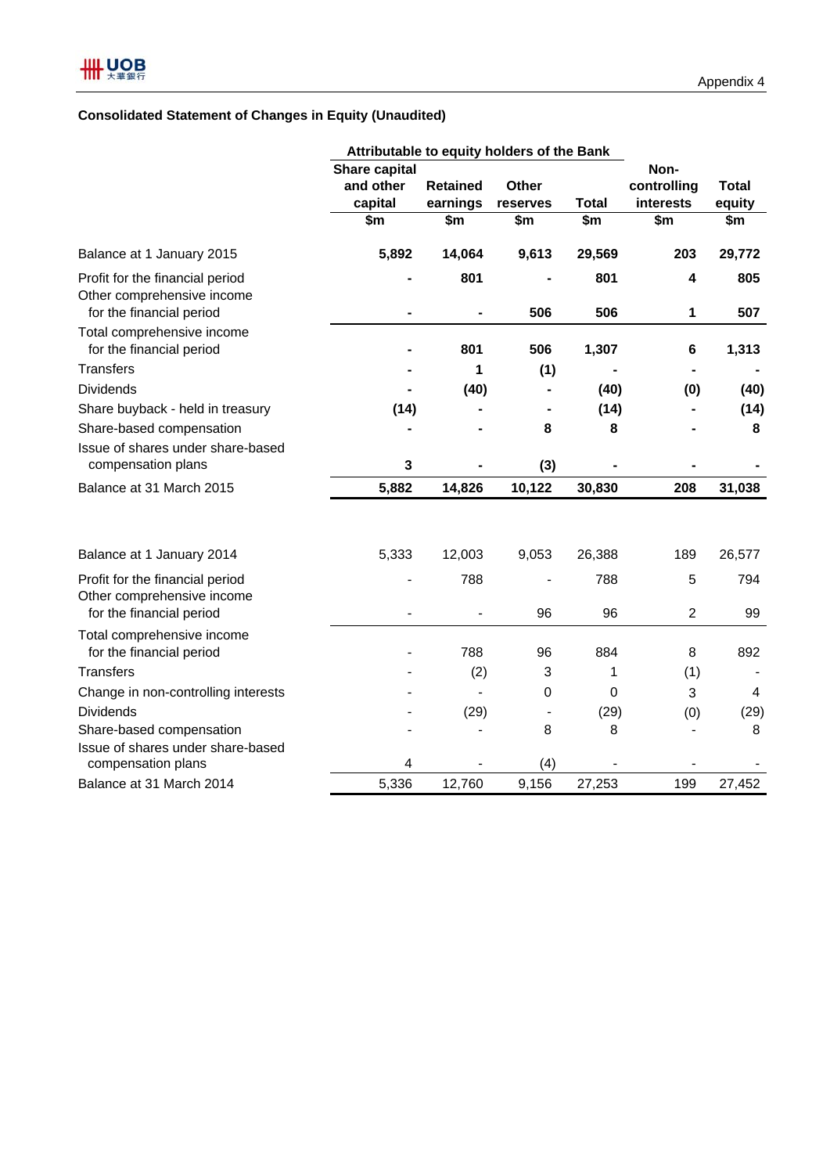## **Consolidated Statement of Changes in Equity (Unaudited)**

|                                                                                           | Attributable to equity holders of the Bank |                 |                        |                          |                        |                  |
|-------------------------------------------------------------------------------------------|--------------------------------------------|-----------------|------------------------|--------------------------|------------------------|------------------|
|                                                                                           | Share capital                              |                 |                        |                          | Non-                   |                  |
|                                                                                           | and other                                  | <b>Retained</b> | Other                  |                          | controlling            | <b>Total</b>     |
|                                                                                           | capital                                    | earnings        | reserves               | <b>Total</b>             | interests              | equity           |
|                                                                                           | $\overline{\text{sm}}$                     | \$m             | $\overline{\text{sm}}$ | $\overline{\mathsf{sm}}$ | $\overline{\text{sm}}$ | $\overline{\$m}$ |
| Balance at 1 January 2015                                                                 | 5,892                                      | 14,064          | 9,613                  | 29,569                   | 203                    | 29,772           |
| Profit for the financial period<br>Other comprehensive income<br>for the financial period |                                            | 801             | 506                    | 801<br>506               | 4<br>1                 | 805<br>507       |
| Total comprehensive income<br>for the financial period                                    |                                            | 801             | 506                    | 1,307                    | 6                      | 1,313            |
| <b>Transfers</b>                                                                          |                                            | 1               | (1)                    |                          |                        |                  |
| <b>Dividends</b>                                                                          |                                            | (40)            |                        | (40)                     | (0)                    | (40)             |
| Share buyback - held in treasury                                                          | (14)                                       |                 | ۰                      | (14)                     |                        | (14)             |
| Share-based compensation                                                                  |                                            |                 | 8                      | 8                        |                        | 8                |
| Issue of shares under share-based<br>compensation plans                                   | 3                                          |                 | (3)                    |                          |                        |                  |
| Balance at 31 March 2015                                                                  | 5,882                                      | 14,826          | 10,122                 | 30,830                   | 208                    | 31,038           |
| Balance at 1 January 2014                                                                 | 5,333                                      | 12,003          | 9,053                  | 26,388                   | 189                    | 26,577           |
|                                                                                           |                                            |                 |                        |                          |                        |                  |
| Profit for the financial period<br>Other comprehensive income<br>for the financial period |                                            | 788             | 96                     | 788<br>96                | 5<br>$\overline{c}$    | 794<br>99        |
|                                                                                           |                                            |                 |                        |                          |                        |                  |
| Total comprehensive income<br>for the financial period                                    |                                            | 788             | 96                     | 884                      | 8                      | 892              |
| <b>Transfers</b>                                                                          |                                            | (2)             | 3                      | 1                        | (1)                    |                  |
| Change in non-controlling interests                                                       |                                            |                 | 0                      | 0                        | 3                      | 4                |
| <b>Dividends</b>                                                                          |                                            | (29)            | $\blacksquare$         | (29)                     | (0)                    | (29)             |
| Share-based compensation                                                                  |                                            |                 | 8                      | 8                        |                        | 8                |
| Issue of shares under share-based<br>compensation plans                                   | 4                                          |                 | (4)                    |                          |                        |                  |
| Balance at 31 March 2014                                                                  | 5,336                                      | 12,760          | 9,156                  | 27,253                   | 199                    | 27,452           |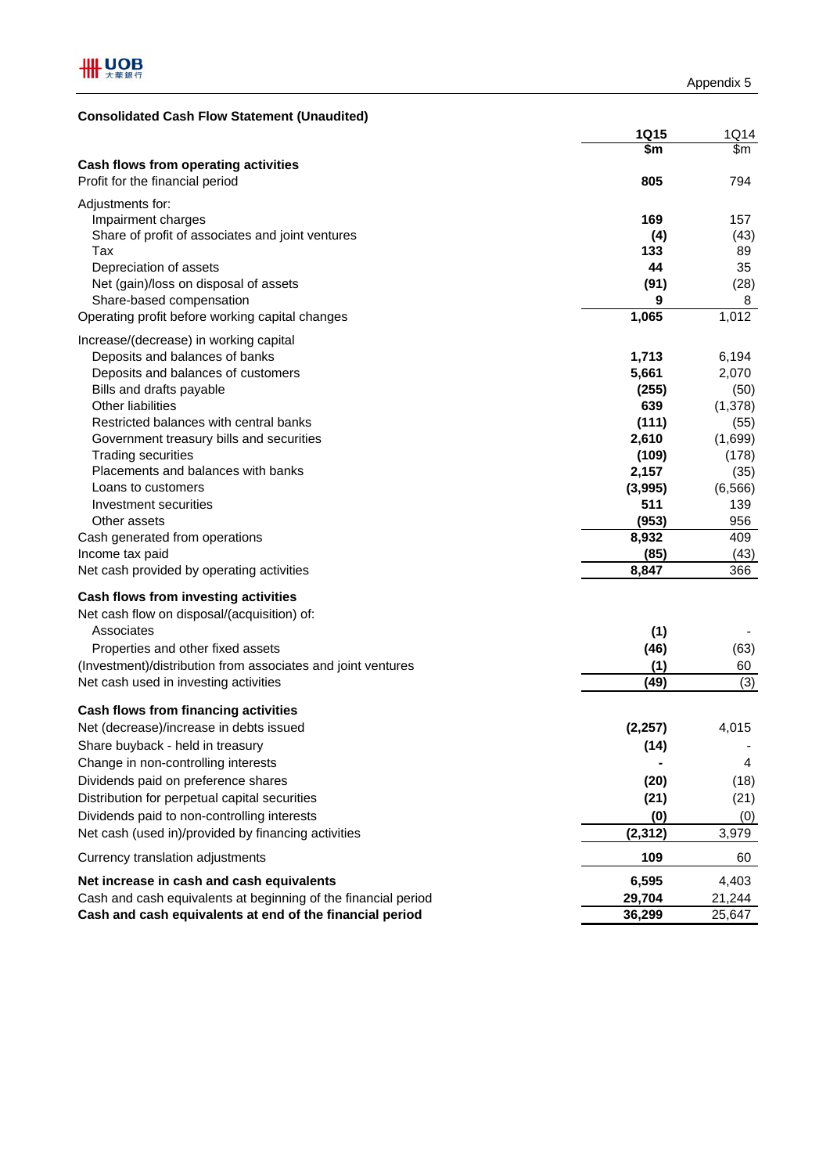| <b>Consolidated Cash Flow Statement (Unaudited)</b>                     |                |            |
|-------------------------------------------------------------------------|----------------|------------|
|                                                                         | <b>1Q15</b>    | 1Q14       |
|                                                                         | \$m            | \$m        |
| Cash flows from operating activities<br>Profit for the financial period | 805            | 794        |
| Adjustments for:                                                        |                |            |
| Impairment charges                                                      | 169            | 157        |
| Share of profit of associates and joint ventures                        | (4)            | (43)       |
| Tax                                                                     | 133            | 89         |
| Depreciation of assets                                                  | 44             | 35         |
| Net (gain)/loss on disposal of assets                                   | (91)           | (28)       |
| Share-based compensation                                                | 9              | 8          |
| Operating profit before working capital changes                         | 1,065          | 1,012      |
| Increase/(decrease) in working capital                                  |                |            |
| Deposits and balances of banks                                          | 1,713          | 6,194      |
| Deposits and balances of customers                                      | 5,661          | 2,070      |
| Bills and drafts payable                                                | (255)          | (50)       |
| Other liabilities                                                       | 639            | (1,378)    |
| Restricted balances with central banks                                  | (111)          | (55)       |
| Government treasury bills and securities                                | 2,610          | (1,699)    |
| <b>Trading securities</b><br>Placements and balances with banks         | (109)          | (178)      |
| Loans to customers                                                      | 2,157          | (35)       |
|                                                                         | (3,995)<br>511 | (6, 566)   |
| Investment securities<br>Other assets                                   | (953)          | 139<br>956 |
| Cash generated from operations                                          | 8,932          | 409        |
| Income tax paid                                                         | (85)           | (43)       |
| Net cash provided by operating activities                               | 8,847          | 366        |
|                                                                         |                |            |
| Cash flows from investing activities                                    |                |            |
| Net cash flow on disposal/(acquisition) of:                             |                |            |
| Associates                                                              | (1)            |            |
| Properties and other fixed assets                                       | (46)           | (63)       |
| (Investment)/distribution from associates and joint ventures            | (1)            | 60         |
| Net cash used in investing activities                                   | (49)           | (3)        |
| Cash flows from financing activities                                    |                |            |
| Net (decrease)/increase in debts issued                                 | (2, 257)       | 4,015      |
| Share buyback - held in treasury                                        | (14)           |            |
| Change in non-controlling interests                                     |                | 4          |
| Dividends paid on preference shares                                     | (20)           | (18)       |
| Distribution for perpetual capital securities                           | (21)           | (21)       |
| Dividends paid to non-controlling interests                             | (0)            | (0)        |
| Net cash (used in)/provided by financing activities                     | (2, 312)       | 3,979      |
| Currency translation adjustments                                        | 109            | 60         |
| Net increase in cash and cash equivalents                               | 6,595          | 4,403      |
| Cash and cash equivalents at beginning of the financial period          | 29,704         | 21,244     |
| Cash and cash equivalents at end of the financial period                | 36,299         | 25,647     |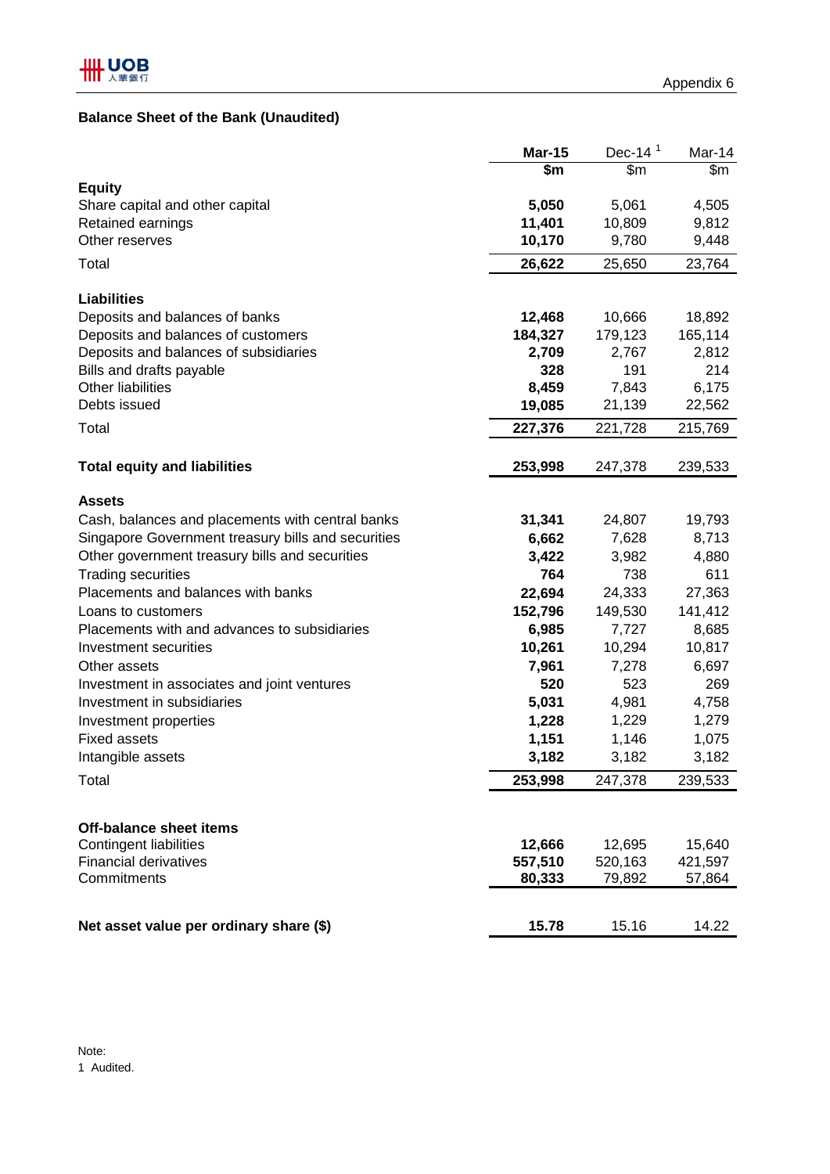## **Balance Sheet of the Bank (Unaudited)**

|                                                    | <b>Mar-15</b>    | Dec-14 $1$       | Mar-14                    |
|----------------------------------------------------|------------------|------------------|---------------------------|
|                                                    | $\overline{\$m}$ | $\overline{\$m}$ | $\overline{\mathbb{S}^m}$ |
| <b>Equity</b>                                      |                  |                  |                           |
| Share capital and other capital                    | 5,050            | 5,061            | 4,505                     |
| Retained earnings                                  | 11,401           | 10,809           | 9,812                     |
| Other reserves                                     | 10,170           | 9,780            | 9,448                     |
| Total                                              | 26,622           | 25,650           | 23,764                    |
| <b>Liabilities</b>                                 |                  |                  |                           |
| Deposits and balances of banks                     | 12,468           | 10,666           | 18,892                    |
| Deposits and balances of customers                 | 184,327          | 179,123          | 165,114                   |
| Deposits and balances of subsidiaries              | 2,709            | 2,767            | 2,812                     |
| Bills and drafts payable                           | 328              | 191              | 214                       |
| <b>Other liabilities</b>                           | 8,459            | 7,843            | 6,175                     |
| Debts issued                                       | 19,085           | 21,139           | 22,562                    |
| Total                                              | 227,376          | 221,728          | 215,769                   |
| <b>Total equity and liabilities</b>                | 253,998          | 247,378          | 239,533                   |
|                                                    |                  |                  |                           |
| <b>Assets</b>                                      |                  |                  |                           |
| Cash, balances and placements with central banks   | 31,341           | 24,807           | 19,793                    |
| Singapore Government treasury bills and securities | 6,662            | 7,628            | 8,713                     |
| Other government treasury bills and securities     | 3,422            | 3,982            | 4,880                     |
| <b>Trading securities</b>                          | 764              | 738              | 611                       |
| Placements and balances with banks                 | 22,694           | 24,333           | 27,363                    |
| Loans to customers                                 | 152,796          | 149,530          | 141,412                   |
| Placements with and advances to subsidiaries       | 6,985            | 7,727            | 8,685                     |
| <b>Investment securities</b>                       | 10,261           | 10,294           | 10,817                    |
| Other assets                                       | 7,961            | 7,278            | 6,697                     |
| Investment in associates and joint ventures        | 520              | 523              | 269                       |
| Investment in subsidiaries                         | 5,031            | 4,981            | 4,758                     |
| Investment properties                              | 1,228            | 1,229            | 1,279                     |
| <b>Fixed assets</b>                                | 1,151            | 1,146            | 1,075                     |
| Intangible assets                                  | 3,182            | 3,182            | 3,182                     |
| Total                                              | 253,998          | 247,378          | 239,533                   |
|                                                    |                  |                  |                           |
| <b>Off-balance sheet items</b>                     |                  |                  |                           |
| <b>Contingent liabilities</b>                      | 12,666           | 12,695           | 15,640                    |
| <b>Financial derivatives</b>                       | 557,510          | 520,163          | 421,597                   |
| Commitments                                        | 80,333           | 79,892           | 57,864                    |
|                                                    |                  |                  |                           |
| Net asset value per ordinary share (\$)            | 15.78            | 15.16            | 14.22                     |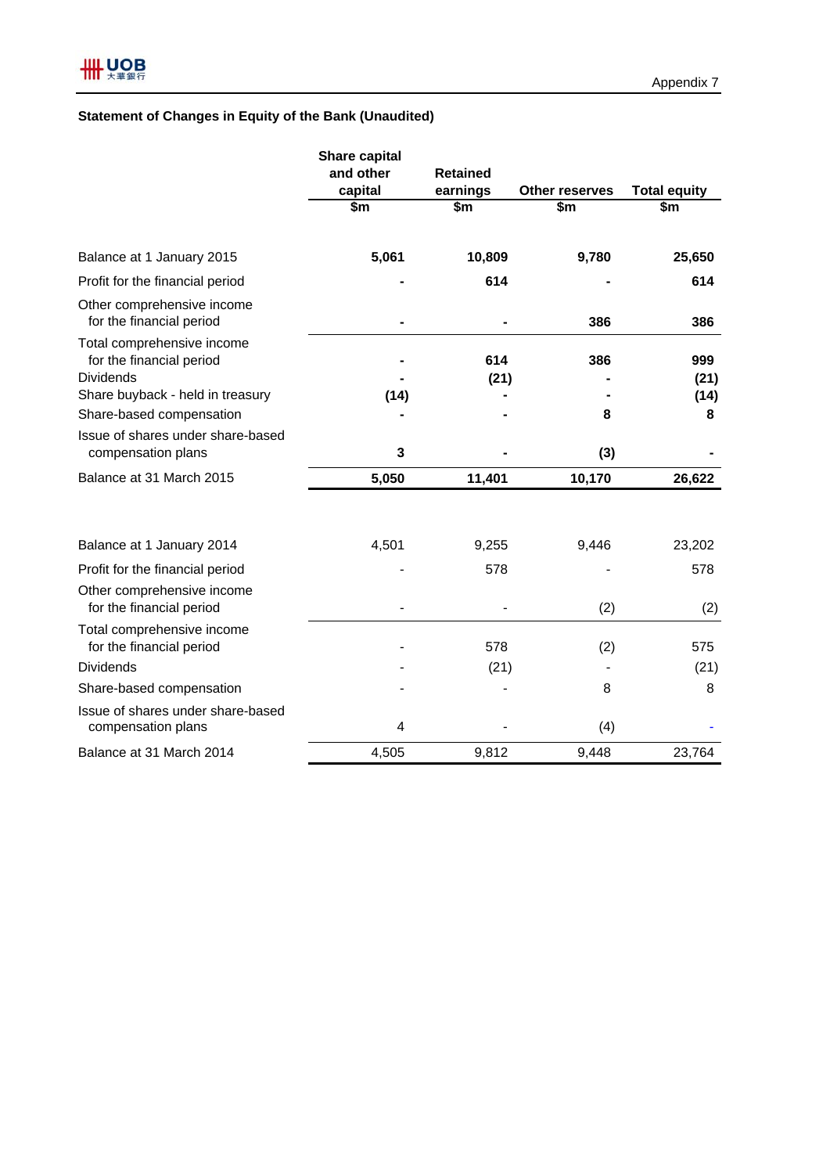## **Statement of Changes in Equity of the Bank (Unaudited)**

|                                                                            | <b>Share capital</b><br>and other | <b>Retained</b> |                       | <b>Total equity</b> |  |
|----------------------------------------------------------------------------|-----------------------------------|-----------------|-----------------------|---------------------|--|
|                                                                            | capital                           | earnings        | <b>Other reserves</b> |                     |  |
|                                                                            | \$m                               | \$m             | \$m                   | \$m                 |  |
| Balance at 1 January 2015                                                  | 5,061                             | 10,809          | 9,780                 | 25,650              |  |
| Profit for the financial period                                            |                                   | 614             |                       | 614                 |  |
| Other comprehensive income<br>for the financial period                     |                                   |                 | 386                   | 386                 |  |
| Total comprehensive income<br>for the financial period<br><b>Dividends</b> |                                   | 614<br>(21)     | 386                   | 999<br>(21)         |  |
| Share buyback - held in treasury                                           | (14)                              |                 |                       | (14)                |  |
| Share-based compensation                                                   |                                   |                 | 8                     | 8                   |  |
| Issue of shares under share-based<br>compensation plans                    | 3                                 |                 | (3)                   |                     |  |
| Balance at 31 March 2015                                                   | 5,050                             | 11,401          | 10,170                | 26,622              |  |
| Balance at 1 January 2014                                                  | 4,501                             | 9,255           | 9,446                 | 23,202              |  |
| Profit for the financial period                                            |                                   | 578             |                       | 578                 |  |
| Other comprehensive income<br>for the financial period                     |                                   |                 | (2)                   | (2)                 |  |
| Total comprehensive income<br>for the financial period                     |                                   | 578             | (2)                   | 575                 |  |
| <b>Dividends</b>                                                           |                                   | (21)            |                       | (21)                |  |
| Share-based compensation                                                   |                                   |                 | 8                     | 8                   |  |
| Issue of shares under share-based<br>compensation plans                    | 4                                 |                 | (4)                   |                     |  |
| Balance at 31 March 2014                                                   | 4,505                             | 9,812           | 9,448                 | 23,764              |  |